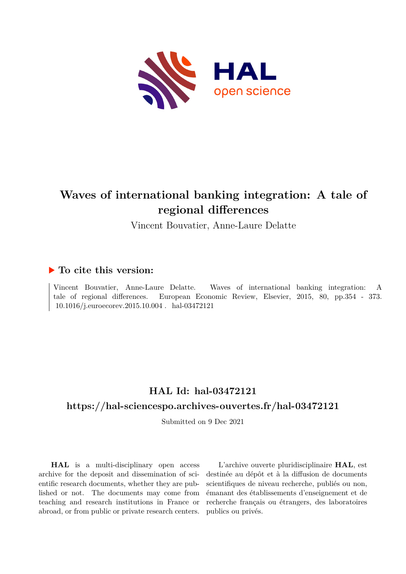

# **Waves of international banking integration: A tale of regional differences**

Vincent Bouvatier, Anne-Laure Delatte

# **To cite this version:**

Vincent Bouvatier, Anne-Laure Delatte. Waves of international banking integration: A tale of regional differences. European Economic Review, Elsevier, 2015, 80, pp.354 - 373.  $10.1016/j.euroecorev.2015.10.004$ . hal-03472121

# **HAL Id: hal-03472121 <https://hal-sciencespo.archives-ouvertes.fr/hal-03472121>**

Submitted on 9 Dec 2021

**HAL** is a multi-disciplinary open access archive for the deposit and dissemination of scientific research documents, whether they are published or not. The documents may come from teaching and research institutions in France or abroad, or from public or private research centers.

L'archive ouverte pluridisciplinaire **HAL**, est destinée au dépôt et à la diffusion de documents scientifiques de niveau recherche, publiés ou non, émanant des établissements d'enseignement et de recherche français ou étrangers, des laboratoires publics ou privés.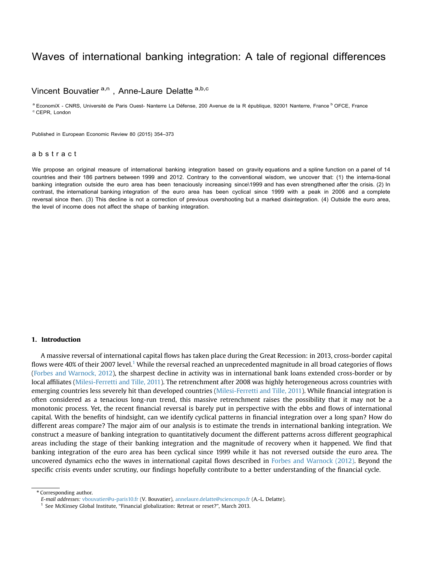# Waves of international banking integrati[on: A tale](www.sciencedirect.com/science/journal/00142921) of regional differences

# Vincent Bouvatier<sup>a,n</sup>, Anne-Laure Delatte [a,b,c](www.elsevier.com/locate/eer)

<sup>a</sup> EconomiX - CNRS, Université de Paris Ouest- Nanterre La Défense, 200 Avenue de la R épublique, 92001 Nanterre, France <sup>b</sup> OFCE, France  $c$ CEPR, London

Published in European Economic Review 80 (2015) 354–373

# abstract

We propose an original measure of international banking integration based on gravity equations and a spline function on a panel of 14 countries and their 186 partners between 1999 and 2012. Contrary to the conventional wisdom, we uncover that: (1) the interna-tional banking integration outside the euro area has been tenaciously increasing since\1999 and has even strengthened after the crisis. (2) In contrast, the international banking integration of the euro area has been cyclical since 1999 with a peak in 2006 and a complete reversal since then. (3) This decline is not a correction of previous overshooting but a marked disintegration. (4) Outside the euro area, the level of income does not affect the shape of banking integration.

## 1. Introduction

A massive reversal of international capital flows has taken place during the Great Recession: in 2013, cross-border capital flows were 40% of their 2007 level.<sup>1</sup> While the reversal reached an unprecedented magnitude in all broad categories of flows (Forbes and Warnock, 2012), the sharpest decline in activity was in international bank loans extended cross-border or by local affiliates (Milesi-Ferretti and Tille, 2011). The retrenchment after 2008 was highly heterogeneous across countries with emerging countries less severely hit than developed countries (Milesi-Ferretti and Tille, 2011). While financial integration is often considered as a tenacious long-run trend, this massive retrenchment raises the possibility that it may not be a monotonic process. Yet, the recent financial reversal is barely put in perspective with the ebbs and flows of international capital. With the benefits of hindsight, can we identify cyclical patterns in financial integration over a long span? How do different areas compare? The major aim of our analysis is to estimate the trends in international banking integration. We construct a measure of banking integration to quantitatively document the different patterns across different geographical areas including the stage of their banking integration and the magnitude of recovery when it happened. We find that banking integration of the euro area has been cyclical since 1999 while it has not reversed outside the euro area. The uncovered dynamics echo the waves in international capital flows described in Forbes and Warnock (2012). Beyond the specific crisis events under scrutiny, our findings hopefully contribute to a better understanding of the financial cycle.

Corresponding author.

E-mail addresses: [vbouvatier@u-paris10.fr](mailto:vbouvatier@u-paris10.fr) (V. Bouvatier), [annelaure.delatte@sciencespo.fr](mailto:annelaure.delatte@sciencespo.fr) (A.-L. Delatte).

 $^{\rm 1}$  See McKinsey Global Institute, "Financial globalization: Retreat or reset?", March 2013.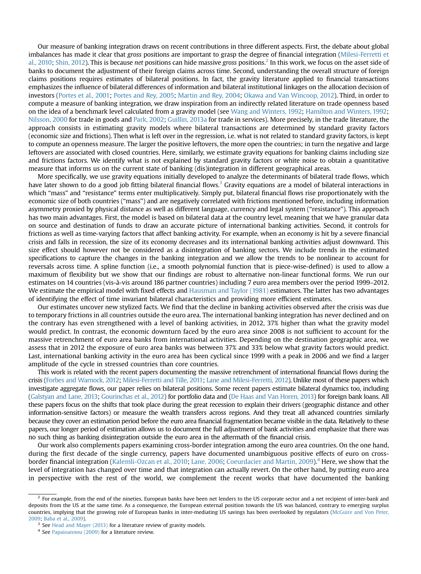Our measure of banking integration draws on recent contributions in three different aspects. First, the debate about global imbalances has made it clear that gross positions are important to grasp the degree of financial integration (Milesi-Ferretti et al., 2010; Shin, 2012). This is because net positions can hide massive gross positions.<sup>2</sup> In this work, we focus on the asset side of banks to document the adjustment of their foreign claims across time. Second, understanding the overall structure of foreign claims positions requires estimates of bilateral positions. In fact, the gravity literature applied to financial transactions emphasizes the influence of bilateral differences of information and bilateral institutional linkages on the allocation decision of investors (Portes et al., 2001; Portes and Rey, 2005; Martin and Rey, 2004; Okawa and Van Wincoop, 2012). Third, in order to compute a measure of banking integration, we draw inspiration from an indirectly related literature on trade openness based on the idea of a benchmark level calculated from a gravity model (see Wang and Winters, 1992; Hamilton and Winters, 1992; Nilsson, 2000 for trade in goods and Park, 2002; Guillin, 2013a for trade in services). More precisely, in the trade literature, the approach consists in estimating gravity models where bilateral transactions are determined by standard gravity factors (economic size and frictions). Then what is left over in the regression, i.e. what is not related to standard gravity factors, is kept to compute an openness measure. The larger the positive leftovers, the more open the countries; in turn the negative and large leftovers are associated with closed countries. Here, similarly, we estimate gravity equations for banking claims including size and frictions factors. We identify what is not explained by standard gravity factors or white noise to obtain a quantitative measure that informs us on the current state of banking (dis)integration in different geographical areas.

More specifically, we use gravity equations initially developed to analyze the determinants of bilateral trade flows, which have later shown to do a good job fitting bilateral financial flows.<sup>3</sup> Gravity equations are a model of bilateral interactions in which "mass" and "resistance" terms enter multiplicatively. Simply put, bilateral financial flows rise proportionately with the economic size of both countries ("mass") and are negatively correlated with frictions mentioned before, including information asymmetry proxied by physical distance as well as different language, currency and legal system ("resistance"). This approach has two main advantages. First, the model is based on bilateral data at the country level, meaning that we have granular data on source and destination of funds to draw an accurate picture of international banking activities. Second, it controls for frictions as well as time-varying factors that affect banking activity. For example, when an economy is hit by a severe financial crisis and falls in recession, the size of its economy decreases and its international banking activities adjust downward. This size effect should however not be considered as a disintegration of banking sectors. We include trends in the estimated specifications to capture the changes in the banking integration and we allow the trends to be nonlinear to account for reversals across time. A spline function (i.e., a smooth polynomial function that is piece-wise-defined) is used to allow a maximum of flexibility but we show that our findings are robust to alternative non-linear functional forms. We run our estimates on 14 countries (vis-à-vis around 186 partner countries) including 7 euro area members over the period 1999–2012. We estimate the empirical model with fixed effects and Hausman and Taylor (1981) estimators. The latter has two advantages of identifying the effect of time invariant bilateral characteristics and providing more efficient estimates.

Our estimates uncover new stylized facts. We find that the decline in banking activities observed after the crisis was due to temporary frictions in all countries outside the euro area. The international banking integration has never declined and on the contrary has even strengthened with a level of banking activities, in 2012, 37% higher than what the gravity model would predict. In contrast, the economic downturn faced by the euro area since 2008 is not sufficient to account for the massive retrenchment of euro area banks from international activities. Depending on the destination geographic area, we assess that in 2012 the exposure of euro area banks was between 37% and 33% below what gravity factors would predict. Last, international banking activity in the euro area has been cyclical since 1999 with a peak in 2006 and we find a larger amplitude of the cycle in stressed countries than core countries.

This work is related with the recent papers documenting the massive retrenchment of international financial flows during the crisis (Forbes and Warnock, 2012; Milesi-Ferretti and Tille, 2011; Lane and Milesi-Ferretti, 2012). Unlike most of these papers which investigate aggregate flows, our paper relies on bilateral positions. Some recent papers estimate bilateral dynamics too, including (Galstyan and Lane, 2013; Gourinchas et al., 2012) for portfolio data and (De Haas and Van Horen, 2013) for foreign bank loans. All these papers focus on the shifts that took place during the great recession to explain their drivers (geographic distance and other information-sensitive factors) or measure the wealth transfers across regions. And they treat all advanced countries similarly because they cover an estimation period before the euro area financial fragmentation became visible in the data. Relatively to these papers, our longer period of estimation allows us to document the full adjustment of bank activities and emphasize that there was no such thing as banking disintegration outside the euro area in the aftermath of the financial crisis.

Our work also complements papers examining cross-border integration among the euro area countries. On the one hand, during the first decade of the single currency, papers have documented unambiguous positive effects of euro on crossborder financial integration (Kalemli-Ozcan et al., 2010; Lane, 2006; Coeurdacier and Martin, 2009).<sup>4</sup> Here, we show that the level of integration has changed over time and that integration can actually revert. On the other hand, by putting euro area in perspective with the rest of the world, we complement the recent works that have documented the banking

<sup>&</sup>lt;sup>2</sup> For example, from the end of the nineties, European banks have been net lenders to the US corporate sector and a net recipient of inter-bank and deposits from the US at the same time. As a consequence, the European external position towards the US was balanced, contrary to emerging surplus countries, implying that the growing role of European banks in inter-mediating US savings has been overlooked by regulators (McGuire and Von Peter, 2009; Baba et al., 2009).

<sup>&</sup>lt;sup>3</sup> See Head and Mayer (2013) for a literature review of gravity models.

<sup>4</sup> See Papaioannou (2009) for a literature review.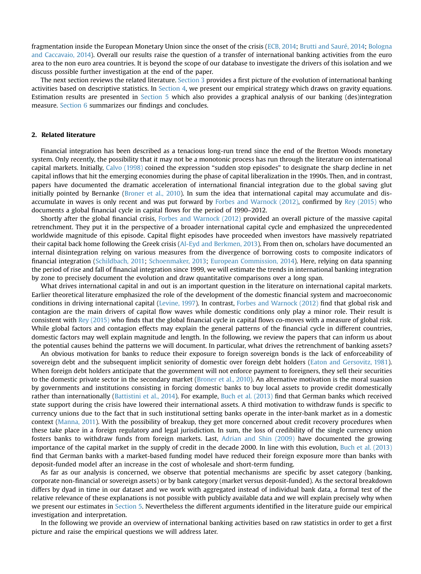fragmentation inside the European Monetary Union since the onset of the crisis (ECB, 2014; Brutti and Sauré, 2014; Bologna and Caccavaio, 2014). Overall our results raise the question of a transfer of international banking activities from the euro area to the non euro area countries. It is beyond the scope of our database to investigate the drivers of this isolation and we discuss possible further investigation at the end of the paper.

The next section reviews the related literature. Section 3 provides a first picture of the evolution of international banking activities based on descriptive statistics. In Section 4, we present our empirical strategy which draws on gravity equations. Estimation results are presented in Section 5 which also provides a graphical analysis of our banking (des)integration measure. Section 6 summarizes our findings and concludes.

# 2. Related literature

Financial integration has been described as a tenacious long-run trend since the end of the Bretton Woods monetary system. Only recently, the possibility that it may not be a monotonic process has run through the literature on international capital markets. Initially, Calvo (1998) coined the expression "sudden stop episodes" to designate the sharp decline in net capital inflows that hit the emerging economies during the phase of capital liberalization in the 1990s. Then, and in contrast, papers have documented the dramatic acceleration of international financial integration due to the global saving glut initially pointed by Bernanke (Broner et al., 2010). In sum the idea that international capital may accumulate and disaccumulate in waves is only recent and was put forward by Forbes and Warnock (2012), confirmed by Rey (2015) who documents a global financial cycle in capital flows for the period of 1990–2012.

Shortly after the global financial crisis, Forbes and Warnock (2012) provided an overall picture of the massive capital retrenchment. They put it in the perspective of a broader international capital cycle and emphasized the unprecedented worldwide magnitude of this episode. Capital flight episodes have proceeded when investors have massively repatriated their capital back home following the Greek crisis (Al-Eyd and Berkmen, 2013). From then on, scholars have documented an internal disintegration relying on various measures from the divergence of borrowing costs to composite indicators of financial integration (Schildbach, 2011; Schoenmaker, 2013; European Commission, 2014). Here, relying on data spanning the period of rise and fall of financial integration since 1999, we will estimate the trends in international banking integration by zone to precisely document the evolution and draw quantitative comparisons over a long span.

What drives international capital in and out is an important question in the literature on international capital markets. Earlier theoretical literature emphasized the role of the development of the domestic financial system and macroeconomic conditions in driving international capital (Levine, 1997). In contrast, Forbes and Warnock (2012) find that global risk and contagion are the main drivers of capital flow waves while domestic conditions only play a minor role. Their result is consistent with Rey (2015) who finds that the global financial cycle in capital flows co-moves with a measure of global risk. While global factors and contagion effects may explain the general patterns of the financial cycle in different countries, domestic factors may well explain magnitude and length. In the following, we review the papers that can inform us about the potential causes behind the patterns we will document. In particular, what drives the retrenchment of banking assets?

An obvious motivation for banks to reduce their exposure to foreign sovereign bonds is the lack of enforceability of sovereign debt and the subsequent implicit seniority of domestic over foreign debt holders (Eaton and Gersovitz, 1981). When foreign debt holders anticipate that the government will not enforce payment to foreigners, they sell their securities to the domestic private sector in the secondary market (Broner et al., 2010). An alternative motivation is the moral suasion by governments and institutions consisting in forcing domestic banks to buy local assets to provide credit domestically rather than internationally (Battistini et al., 2014). For example, Buch et al. (2013) find that German banks which received state support during the crisis have lowered their international assets. A third motivation to withdraw funds is specific to currency unions due to the fact that in such institutional setting banks operate in the inter-bank market as in a domestic context (Manna, 2011). With the possibility of breakup, they get more concerned about credit recovery procedures when these take place in a foreign regulatory and legal jurisdiction. In sum, the loss of credibility of the single currency union fosters banks to withdraw funds from foreign markets. Last, Adrian and Shin (2009) have documented the growing importance of the capital market in the supply of credit in the decade 2000. In line with this evolution, Buch et al. (2013) find that German banks with a market-based funding model have reduced their foreign exposure more than banks with deposit-funded model after an increase in the cost of wholesale and short-term funding.

As far as our analysis is concerned, we observe that potential mechanisms are specific by asset category (banking, corporate non-financial or sovereign assets) or by bank category (market versus deposit-funded). As the sectoral breakdown differs by dyad in time in our dataset and we work with aggregated instead of individual bank data, a formal test of the relative relevance of these explanations is not possible with publicly available data and we will explain precisely why when we present our estimates in Section 5. Nevertheless the different arguments identified in the literature guide our empirical investigation and interpretation.

In the following we provide an overview of international banking activities based on raw statistics in order to get a first picture and raise the empirical questions we will address later.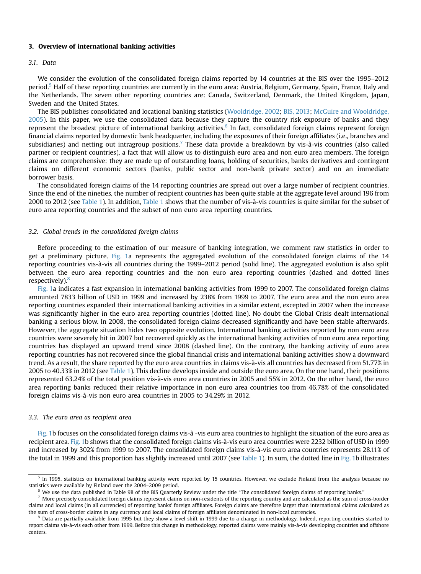# 3. Overview of international banking activities

#### 3.1. Data

We consider the evolution of the consolidated foreign claims reported by 14 countries at the BIS over the 1995–2012 period.<sup>5</sup> Half of these reporting countries are currently in the euro area: Austria, Belgium, Germany, Spain, France, Italy and the Netherlands. The seven other reporting countries are: Canada, Switzerland, Denmark, the United Kingdom, Japan, Sweden and the United States.

The BIS publishes consolidated and locational banking statistics (Wooldridge, 2002; BIS, 2013; McGuire and Wooldridge, 2005). In this paper, we use the consolidated data because they capture the country risk exposure of banks and they represent the broadest picture of international banking activities.<sup>6</sup> In fact, consolidated foreign claims represent foreign financial claims reported by domestic bank headquarter, including the exposures of their foreign affiliates (i.e., branches and subsidiaries) and netting out intragroup positions.<sup>7</sup> These data provide a breakdown by vis-à-vis countries (also called partner or recipient countries), a fact that will allow us to distinguish euro area and non euro area members. The foreign claims are comprehensive: they are made up of outstanding loans, holding of securities, banks derivatives and contingent claims on different economic sectors (banks, public sector and non-bank private sector) and on an immediate borrower basis.

The consolidated foreign claims of the 14 reporting countries are spread out over a large number of recipient countries. Since the end of the nineties, the number of recipient countries has been quite stable at the aggregate level around 196 from 2000 to 2012 (see Table 1). In addition, Table 1 shows that the number of vis-à-vis countries is quite similar for the subset of euro area reporting countries and the subset of non euro area reporting countries.

# 3.2. Global trends in the consolidated foreign claims

Before proceeding to the estimation of our measure of banking integration, we comment raw statistics in order to get a preliminary picture. Fig. 1a represents the aggregated evolution of the consolidated foreign claims of the 14 reporting countries vis-à-vis all countries during the 1999–2012 period (solid line). The aggregated evolution is also split between the euro area reporting countries and the non euro area reporting countries (dashed and dotted lines respectively).<sup>8</sup>

Fig. 1a indicates a fast expansion in international banking activities from 1999 to 2007. The consolidated foreign claims amounted 7833 billion of USD in 1999 and increased by 238% from 1999 to 2007. The euro area and the non euro area reporting countries expanded their international banking activities in a similar extent, excepted in 2007 when the increase was significantly higher in the euro area reporting countries (dotted line). No doubt the Global Crisis dealt international banking a serious blow. In 2008, the consolidated foreign claims decreased significantly and have been stable afterwards. However, the aggregate situation hides two opposite evolution. International banking activities reported by non euro area countries were severely hit in 2007 but recovered quickly as the international banking activities of non euro area reporting countries has displayed an upward trend since 2008 (dashed line). On the contrary, the banking activity of euro area reporting countries has not recovered since the global financial crisis and international banking activities show a downward trend. As a result, the share reported by the euro area countries in claims vis-à-vis all countries has decreased from 51.77% in 2005 to 40.33% in 2012 (see Table 1). This decline develops inside and outside the euro area. On the one hand, their positions represented 63.24% of the total position vis-à-vis euro area countries in 2005 and 55% in 2012. On the other hand, the euro area reporting banks reduced their relative importance in non euro area countries too from 46.78% of the consolidated foreign claims vis-à-vis non euro area countries in 2005 to 34.29% in 2012.

# 3.3. The euro area as recipient area

Fig. 1b focuses on the consolidated foreign claims vis-à -vis euro area countries to highlight the situation of the euro area as recipient area. Fig. 1b shows that the consolidated foreign claims vis-à-vis euro area countries were 2232 billion of USD in 1999 and increased by 302% from 1999 to 2007. The consolidated foreign claims vis-à-vis euro area countries represents 28.11% of the total in 1999 and this proportion has slightly increased until 2007 (see Table 1). In sum, the dotted line in Fig. 1b illustrates

 $5$  In 1995, statistics on international banking activity were reported by 15 countries. However, we exclude Finland from the analysis because no statistics were available by Finland over the 2004–2009 period.

<sup>6</sup> We use the data published in Table 9B of the BIS Quarterly Review under the title "The consolidated foreign claims of reporting banks."

 $^7$  More precisely consolidated foreign claims represent claims on non-residents of the reporting country and are calculated as the sum of cross-border claims and local claims (in all currencies) of reporting banks' foreign affiliates. Foreign claims are therefore larger than international claims calculated as the sum of cross-border claims in any currency and local claims of foreign affiliates denominated in non-local currencies.

<sup>&</sup>lt;sup>8</sup> Data are partially available from 1995 but they show a level shift in 1999 due to a change in methodology. Indeed, reporting countries started to report claims vis-à-vis each other from 1999. Before this change in methodology, reported claims were mainly vis-à-vis developing countries and offshore centers.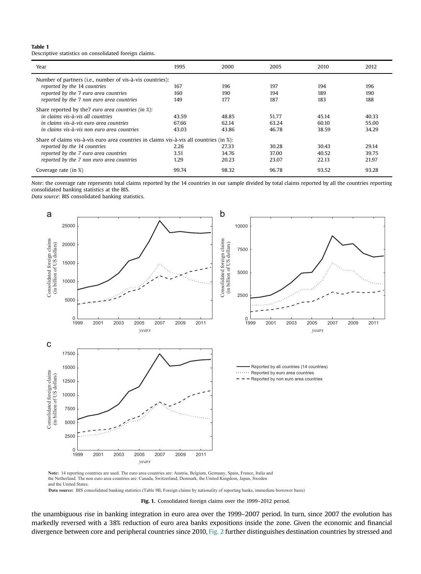# Table 1

Descriptive statistics on consolidated foreign claims.

| Year                                                                                    | 1995  | 2000  | 2005  | 2010  | 2012  |  |  |  |
|-----------------------------------------------------------------------------------------|-------|-------|-------|-------|-------|--|--|--|
| Number of partners (i.e., number of vis-à-vis countries):                               |       |       |       |       |       |  |  |  |
| reported by the 14 countries                                                            | 167   | 196   | 197   | 194   | 196   |  |  |  |
| reported by the 7 euro area countries                                                   | 160   | 190   | 194   | 189   | 190   |  |  |  |
| reported by the 7 non euro area countries                                               | 149   | 177   | 187   | 183   | 188   |  |  |  |
| Share reported by the 7 euro area countries (in $\chi$ ):                               |       |       |       |       |       |  |  |  |
| in claims vis-à-vis all countries                                                       | 43.59 | 48.85 | 51.77 | 45.14 | 40.33 |  |  |  |
| in claims vis-à-vis euro area countries                                                 | 67.66 | 62.14 | 63.24 | 60.10 | 55.00 |  |  |  |
| in claims vis-à-vis non euro area countries                                             | 43.03 | 43.86 | 46.78 | 38.59 | 34.29 |  |  |  |
| Share of claims vis-à-vis euro area countries in claims vis-à-vis all countries (in %): |       |       |       |       |       |  |  |  |
| reported by the 14 countries                                                            | 2.26  | 27.33 | 30.28 | 30.43 | 29.14 |  |  |  |
| reported by the 7 euro area countries                                                   | 3.51  | 34.76 | 37.00 | 40.52 | 39.75 |  |  |  |
| reported by the 7 non euro area countries                                               | 1.29  | 20.23 | 23.07 | 22.13 | 21.97 |  |  |  |
| Coverage rate (in %)                                                                    | 99.74 | 98.32 | 96.78 | 93.52 | 93.28 |  |  |  |

Note: the coverage rate represents total claims reported by the 14 countries in our sample divided by total claims reported by all the countries reporting consolidated banking statistics at the BIS.

Data source: BIS consolidated banking statistics.



**Note:** 14 reporting countries are used. The euro area countries are: Austria, Belgium, Germany, Spain, France, Italia and the Netherland. The non euro area countries are: Canada, Switzerland, Denmark, the United Kingdom, Japan, Sweden and the United States.

**Data source:** BIS consolidated banking statistics (Table 9B, Foreign claims by nationality of reporting banks, immediate borrower basis)

Fig. 1. Consolidated foreign claims over the 1999-2012 period.

the unambiguous rise in banking integration in euro area over the 1999–2007 period. In turn, since 2007 the evolution has markedly reversed with a 38% reduction of euro area banks expositions inside the zone. Given the economic and financial divergence between core and peripheral countries since 2010, Fig. 2 further distinguishes destination countries by stressed and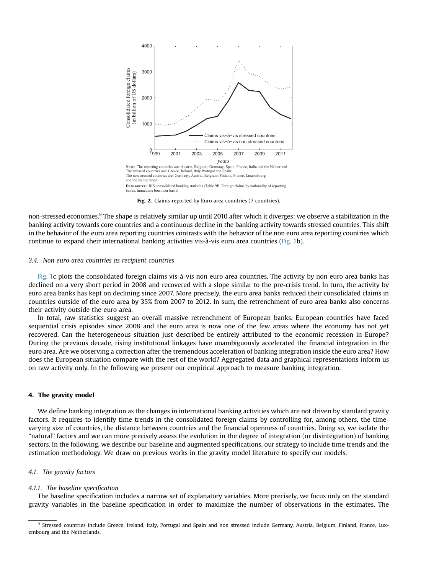

Fig. 2. Claims reported by Euro area countries (7 countries).

non-stressed economies.<sup>9</sup> The shape is relatively similar up until 2010 after which it diverges: we observe a stabilization in the banking activity towards core countries and a continuous decline in the banking activity towards stressed countries. This shift in the behavior of the euro area reporting countries contrasts with the behavior of the non euro area reporting countries which continue to expand their international banking activities vis-à-vis euro area countries (Fig. 1b).

## 3.4. Non euro area countries as recipient countries

Fig. 1c plots the consolidated foreign claims vis-à-vis non euro area countries. The activity by non euro area banks has declined on a very short period in 2008 and recovered with a slope similar to the pre-crisis trend. In turn, the activity by euro area banks has kept on declining since 2007. More precisely, the euro area banks reduced their consolidated claims in countries outside of the euro area by 35% from 2007 to 2012. In sum, the retrenchment of euro area banks also concerns their activity outside the euro area.

In total, raw statistics suggest an overall massive retrenchment of European banks. European countries have faced sequential crisis episodes since 2008 and the euro area is now one of the few areas where the economy has not yet recovered. Can the heterogeneous situation just described be entirely attributed to the economic recession in Europe? During the previous decade, rising institutional linkages have unambiguously accelerated the financial integration in the euro area. Are we observing a correction after the tremendous acceleration of banking integration inside the euro area? How does the European situation compare with the rest of the world? Aggregated data and graphical representations inform us on raw activity only. In the following we present our empirical approach to measure banking integration.

# 4. The gravity model

We define banking integration as the changes in international banking activities which are not driven by standard gravity factors. It requires to identify time trends in the consolidated foreign claims by controlling for, among others, the timevarying size of countries, the distance between countries and the financial openness of countries. Doing so, we isolate the "natural" factors and we can more precisely assess the evolution in the degree of integration (or disintegration) of banking sectors. In the following, we describe our baseline and augmented specifications, our strategy to include time trends and the estimation methodology. We draw on previous works in the gravity model literature to specify our models.

# 4.1. The gravity factors

#### 4.1.1. The baseline specification

The baseline specification includes a narrow set of explanatory variables. More precisely, we focus only on the standard gravity variables in the baseline specification in order to maximize the number of observations in the estimates. The

<sup>&</sup>lt;sup>9</sup> Stressed countries include Greece, Ireland, Italy, Portugal and Spain and non stressed include Germany, Austria, Belgium, Finland, France, Luxembourg and the Netherlands.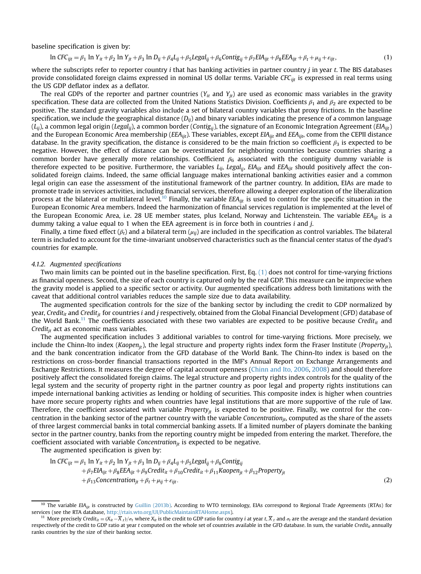baseline specification is given by:

$$
\ln CFC_{ijt} = \beta_1 \ln Y_{it} + \beta_2 \ln Y_{jt} + \beta_3 \ln D_{ij} + \beta_4 L_{ij} + \beta_5 Legal_{ij} + \beta_6 Contig_{ij} + \beta_7 EH_{ijt} + \beta_8 EEA_{ijt} + \beta_t + \mu_{ij} + \varepsilon_{ijt},
$$
\n(1)

where the subscripts refer to reporter country  $i$  that has banking activities in partner country  $j$  in year  $t$ . The BIS databases provide consolidated foreign claims expressed in nominal US dollar terms. Variable  $CFC_{ii}$  is expressed in real terms using the US GDP deflator index as a deflator.

The real GDPs of the reporter and partner countries ( $Y_{it}$  and  $Y_{it}$ ) are used as economic mass variables in the gravity specification. These data are collected from the United Nations Statistics Division. Coefficients  $\beta_1$  and  $\beta_2$  are expected to be positive. The standard gravity variables also include a set of bilateral country variables that proxy frictions. In the baseline specification, we include the geographical distance  $(D_{ii})$  and binary variables indicating the presence of a common language  $(L_{ii})$ , a common legal origin (Legal<sub>ii</sub>), a common border (Contig<sub>ii</sub>), the signature of an Economic Integration Agreement (EIA<sub>iit</sub>) and the European Economic Area membership ( $EEA_{ijt}$ ). These variables, except  $EIA_{ijt}$  and  $EEA_{ijt}$ , come from the CEPII distance database. In the gravity specification, the distance is considered to be the main friction so coefficient  $\beta_3$  is expected to be negative. However, the effect of distance can be overestimated for neighboring countries because countries sharing a common border have generally more relationships. Coefficient  $\beta_6$  associated with the contiguity dummy variable is therefore expected to be positive. Furthermore, the variables  $L_{ij}$ , Legal<sub>ij</sub>, EIA<sub>ijt</sub> and EEA<sub>ijt</sub> should positively affect the consolidated foreign claims. Indeed, the same official language makes international banking activities easier and a common legal origin can ease the assessment of the institutional framework of the partner country. In addition, EIAs are made to promote trade in services activities, including financial services, therefore allowing a deeper exploration of the liberalization process at the bilateral or multilateral level.<sup>10</sup> Finally, the variable EEA<sub>ijt</sub> is used to control for the specific situation in the European Economic Area members. Indeed the harmonization of financial services regulation is implemented at the level of the European Economic Area, i.e. 28 UE member states, plus Iceland, Norway and Lichtenstein. The variable  $EEA_{ijt}$  is a dummy taking a value equal to 1 when the EEA agreement is in force both in countries  $i$  and  $j$ .

Finally, a time fixed effect ( $\beta_t$ ) and a bilateral term ( $\mu_{ij}$ ) are included in the specification as control variables. The bilateral term is included to account for the time-invariant unobserved characteristics such as the financial center status of the dyad's countries for example.

# 4.1.2. Augmented specifications

Two main limits can be pointed out in the baseline specification. First, Eq.  $(1)$  does not control for time-varying frictions as financial openness. Second, the size of each country is captured only by the real GDP. This measure can be imprecise when the gravity model is applied to a specific sector or activity. Our augmented specifications address both limitations with the caveat that additional control variables reduces the sample size due to data availability.

The augmented specification controls for the size of the banking sector by including the credit to GDP normalized by year, Credit<sub>it</sub> and Credit<sub>it</sub> for countries i and j respectively, obtained from the Global Financial Development (GFD) database of the World Bank.<sup>11</sup> The coefficients associated with these two variables are expected to be positive because Credit<sub>it</sub> and Credit $_{it}$  act as economic mass variables.

The augmented specification includes 3 additional variables to control for time-varying frictions. More precisely, we include the Chinn-Ito index (Kaopen<sub>it</sub>), the legal structure and property rights index form the Fraser Institute (Property<sub>it</sub>), and the bank concentration indicator from the GFD database of the World Bank. The Chinn-Ito index is based on the restrictions on cross-border financial transactions reported in the IMF's Annual Report on Exchange Arrangements and Exchange Restrictions. It measures the degree of capital account openness (Chinn and Ito, 2006, 2008) and should therefore positively affect the consolidated foreign claims. The legal structure and property rights index controls for the quality of the legal system and the security of property right in the partner country as poor legal and property rights institutions can impede international banking activities as lending or holding of securities. This composite index is higher when countries have more secure property rights and when countries have legal institutions that are more supportive of the rule of law. Therefore, the coefficient associated with variable Property $_{it}$  is expected to be positive. Finally, we control for the concentration in the banking sector of the partner country with the variable Concentration $_{ih}$ , computed as the share of the assets of three largest commercial banks in total commercial banking assets. If a limited number of players dominate the banking sector in the partner country, banks from the reporting country might be impeded from entering the market. Therefore, the coefficient associated with variable Concentration $\mu$  is expected to be negative.

The augmented specification is given by:

$$
\ln CFC_{ijt} = \beta_1 \ln Y_{it} + \beta_2 \ln Y_{jt} + \beta_3 \ln D_{ij} + \beta_4 L_{ij} + \beta_5 Legal_{ij} + \beta_6 Contig_{ij} + \beta_7 EIA_{ijt} + \beta_8 EEA_{ijt} + \beta_9 Credit_{it} + \beta_{10} Credit_{it} + \beta_{11} Kaopen_{jt} + \beta_{12} Property_{jt} + \beta_{13} Concentration_{jt} + \beta_t + \mu_{ij} + \varepsilon_{ijt}.
$$
\n(2)

<sup>&</sup>lt;sup>10</sup> The variable EIA<sub>iit</sub> is constructed by Guillin (2013b). According to WTO terminology, EIAs correspond to Regional Trade Agreements (RTAs) for services (see the RTA database, <http://rtais.wto.org/UI/PublicMaintainRTAHome.aspx>).

<sup>&</sup>lt;sup>11</sup> More precisely Credit<sub>it</sub> =  $(X_{it} - \overline{X}_{t})/\sigma_t$  where  $X_{it}$  is the credit to GDP ratio for country *i* at year t,  $\overline{X}_{t}$  and  $\sigma_t$  are the average and the standard deviation respectively of the credit to GDP ratio at year t computed on the whole set of countries available in the GFD database. In sum, the variable Credit<sub>it</sub> annually ranks countries by the size of their banking sector.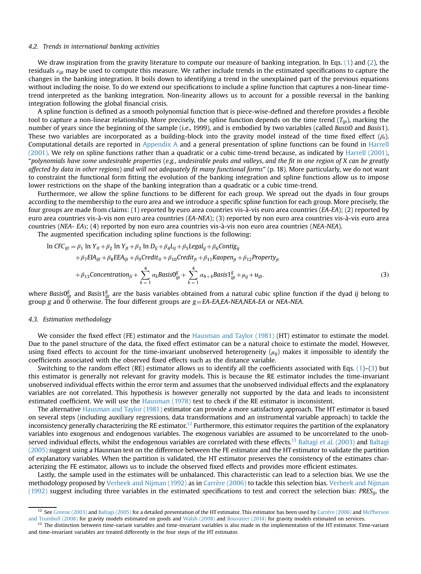#### 4.2. Trends in international banking activities

We draw inspiration from the gravity literature to compute our measure of banking integration. In Eqs. (1) and (2), the residuals  $\varepsilon_{ijt}$  may be used to compute this measure. We rather include trends in the estimated specifications to capture the changes in the banking integration. It boils down to identifying a trend in the unexplained part of the previous equations without including the noise. To do we extend our specifications to include a spline function that captures a non-linear timetrend interpreted as the banking integration. Non-linearity allows us to account for a possible reversal in the banking integration following the global financial crisis.

A spline function is defined as a smooth polynomial function that is piece-wise-defined and therefore provides a flexible tool to capture a non-linear relationship. More precisely, the spline function depends on the time trend  $(T_{iit})$ , marking the number of years since the beginning of the sample (i.e., 1999), and is embodied by two variables (called Basis0 and Basis1). These two variables are incorporated as a building-block into the gravity model instead of the time fixed effect  $(\beta_t)$ . Computational details are reported in Appendix A and a general presentation of spline functions can be found in Harrell (2001). We rely on spline functions rather than a quadratic or a cubic time-trend because, as indicated by Harrell (2001), "polynomials have some undesirable properties (e.g., undesirable peaks and valleys, and the fit in one region of X can be greatly affected by data in other regions) and will not adequately fit many functional forms" (p. 18). More particularly, we do not want to constraint the functional form fitting the evolution of the banking integration and spline functions allow us to impose lower restrictions on the shape of the banking integration than a quadratic or a cubic time-trend.

Furthermore, we allow the spline functions to be different for each group. We spread out the dyads in four groups according to the membership to the euro area and we introduce a specific spline function for each group. More precisely, the four groups are made from claims: (1) reported by euro area countries vis-à-vis euro area countries (EA-EA); (2) reported by euro area countries vis-à-vis non euro area countries (EA-NEA); (3) reported by non euro area countries vis-à-vis euro area countries (NEA- EA); (4) reported by non euro area countries vis-à-vis non euro area countries (NEA-NEA).

The augmented specification including spline functions is the following:

$$
\ln CFC_{ijt} = \beta_1 \ln Y_{it} + \beta_2 \ln Y_{jt} + \beta_3 \ln D_{ij} + \beta_4 L_{ij} + \beta_5 Legal_{ij} + \beta_6 Contig_{ij}
$$
  
+  $\beta_7 EIA_{ijt} + \beta_8 EEA_{ijt} + \beta_9 Credit_{it} + \beta_{10} Credit_{jt} + \beta_{11} Kaopen_{jt} + \beta_{12} Property_{jt}$   
+  $\beta_{13} Concentration_{jt} + \sum_{k=1}^{4} \alpha_k BasisS_{ijt}^g + \sum_{k=1}^{4} \alpha_{4+k} BasisI_{ijt}^g + \mu_{ij} + u_{ijt}.$  (3)

where Basis0 $_{ijt}^g$  and Basis1 $_{ijt}^g$  are the basis variables obtained from a natural cubic spline function if the dyad  $ij$  belong to group g and 0 otherwise. The four different groups are  $g = EA$ -EA,EA-NEA,NEA-EA or NEA-NEA.

#### 4.3. Estimation methodology

We consider the fixed effect (FE) estimator and the Hausman and Taylor (1981) (HT) estimator to estimate the model. Due to the panel structure of the data, the fixed effect estimator can be a natural choice to estimate the model. However, using fixed effects to account for the time-invariant unobserved heterogeneity  $(\mu_{ii})$  makes it impossible to identify the coefficients associated with the observed fixed effects such as the distance variable.

Switching to the random effect (RE) estimator allows us to identify all the coefficients associated with Eqs. (1)–(3) but this estimator is generally not relevant for gravity models. This is because the RE estimator includes the time-invariant unobserved individual effects within the error term and assumes that the unobserved individual effects and the explanatory variables are not correlated. This hypothesis is however generally not supported by the data and leads to inconsistent estimated coefficient. We will use the Hausman (1978) test to check if the RE estimator is inconsistent.

The alternative Hausman and Taylor (1981) estimator can provide a more satisfactory approach. The HT estimator is based on several steps (including auxiliary regressions, data transformations and an instrumental variable approach) to tackle the inconsistency generally characterizing the RE estimator.<sup>12</sup> Furthermore, this estimator requires the partition of the explanatory variables into exogenous and endogenous variables. The exogenous variables are assumed to be uncorrelated to the unobserved individual effects, whilst the endogenous variables are correlated with these effects.<sup>13</sup> Baltagi et al. (2003) and Baltagi (2005) suggest using a Hausman test on the difference between the FE estimator and the HT estimator to validate the partition of explanatory variables. When the partition is validated, the HT estimator preserves the consistency of the estimates characterizing the FE estimator, allows us to include the observed fixed effects and provides more efficient estimates.

Lastly, the sample used in the estimates will be unbalanced. This characteristic can lead to a selection bias. We use the methodology proposed by Verbeek and Nijman (1992) as in Carrère (2006) to tackle this selection bias. Verbeek and Nijman  $(1992)$  suggest including three variables in the estimated specifications to test and correct the selection bias: PRES<sub>ij</sub>, the

<sup>&</sup>lt;sup>12</sup> See Greene (2003) and Baltagi (2005) for a detailed presentation of the HT estimator. This estimator has been used by Carrère (2006) and McPherson and Trumbull (2008) for gravity models estimated on goods and Walsh (2008) and Bouvatier (2014) for gravity models estimated on services.

<sup>&</sup>lt;sup>13</sup> The distinction between time-variant variables and time-invariant variables is also made in the implementation of the HT estimator. Time-variant and time-invariant variables are treated differently in the four steps of the HT estimator.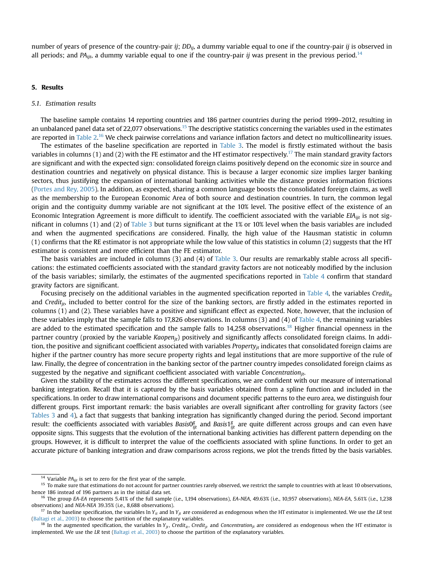number of years of presence of the country-pair ij;  $DD_{ij}$ , a dummy variable equal to one if the country-pair ij is observed in all periods; and PA<sub>iit</sub>, a dummy variable equal to one if the country-pair ij was present in the previous period.<sup>14</sup>

# 5. Results

# 5.1. Estimation results

The baseline sample contains 14 reporting countries and 186 partner countries during the period 1999–2012, resulting in an unbalanced panel data set of 22,077 observations.<sup>15</sup> The descriptive statistics concerning the variables used in the estimates are reported in Table 2.<sup>16</sup> We check pairwise correlations and variance inflation factors and detect no multicollinearity issues.

The estimates of the baseline specification are reported in Table 3. The model is firstly estimated without the basis variables in columns (1) and (2) with the FE estimator and the HT estimator respectively.<sup>17</sup> The main standard gravity factors are significant and with the expected sign: consolidated foreign claims positively depend on the economic size in source and destination countries and negatively on physical distance. This is because a larger economic size implies larger banking sectors, thus justifying the expansion of international banking activities while the distance proxies information frictions (Portes and Rey, 2005). In addition, as expected, sharing a common language boosts the consolidated foreign claims, as well as the membership to the European Economic Area of both source and destination countries. In turn, the common legal origin and the contiguity dummy variable are not significant at the 10% level. The positive effect of the existence of an Economic Integration Agreement is more difficult to identify. The coefficient associated with the variable  $EIA_{i}$  is not significant in columns (1) and (2) of Table 3 but turns significant at the 1% or 10% level when the basis variables are included and when the augmented specifications are considered. Finally, the high value of the Hausman statistic in column (1) confirms that the RE estimator is not appropriate while the low value of this statistics in column (2) suggests that the HT estimator is consistent and more efficient than the FE estimator.

The basis variables are included in columns (3) and (4) of Table 3. Our results are remarkably stable across all specifications: the estimated coefficients associated with the standard gravity factors are not noticeably modified by the inclusion of the basis variables; similarly, the estimates of the augmented specifications reported in Table 4 confirm that standard gravity factors are significant.

Focusing precisely on the additional variables in the augmented specification reported in Table 4, the variables Credit<sub>it</sub> and Credit<sub>it</sub>, included to better control for the size of the banking sectors, are firstly added in the estimates reported in columns (1) and (2). These variables have a positive and significant effect as expected. Note, however, that the inclusion of these variables imply that the sample falls to 17,826 observations. In columns (3) and (4) of Table 4, the remaining variables are added to the estimated specification and the sample falls to  $14,258$  observations.<sup>18</sup> Higher financial openness in the partner country (proxied by the variable Kaopen<sub>it</sub>) positively and significantly affects consolidated foreign claims. In addition, the positive and significant coefficient associated with variables Property<sub>it</sub> indicates that consolidated foreign claims are higher if the partner country has more secure property rights and legal institutions that are more supportive of the rule of law. Finally, the degree of concentration in the banking sector of the partner country impedes consolidated foreign claims as suggested by the negative and significant coefficient associated with variable Concentration $_{it}$ .

Given the stability of the estimates across the different specifications, we are confident with our measure of international banking integration. Recall that it is captured by the basis variables obtained from a spline function and included in the specifications. In order to draw international comparisons and document specific patterns to the euro area, we distinguish four different groups. First important remark: the basis variables are overall significant after controlling for gravity factors (see Tables 3 and 4), a fact that suggests that banking integration has significantly changed during the period. Second important result: the coefficients associated with variables Basis0 $_{ijt}^g$  and Basis1 $_{ijt}^g$  are quite different across groups and can even have opposite signs. This suggests that the evolution of the international banking activities has different pattern depending on the groups. However, it is difficult to interpret the value of the coefficients associated with spline functions. In order to get an accurate picture of banking integration and draw comparisons across regions, we plot the trends fitted by the basis variables.

<sup>&</sup>lt;sup>14</sup> Variable PA<sub>ijt</sub> is set to zero for the first year of the sample.<br><sup>15</sup> To make sure that estimations do not account for partner countries rarely observed, we restrict the sample to countries with at least 10 observat hence 186 instead of 196 partners as in the initial data set.

<sup>&</sup>lt;sup>16</sup> The group EA-EA represents 5.41% of the full sample (i.e., 1,194 observations), EA-NEA, 49.63% (i.e., 10,957 observations), NEA-EA, 5.61% (i.e., 1,238 observations) and NEA-NEA 39.35% (i.e., 8,688 observations).

<sup>&</sup>lt;sup>17</sup> In the baseline specification, the variables ln Y<sub>it</sub> and ln Y<sub>it</sub> are considered as endogenous when the HT estimator is implemented. We use the LR test (Baltagi et al., 2003) to choose the partition of the explanatory variables.

<sup>&</sup>lt;sup>18</sup> In the augmented specification, the variables In Y<sub>it</sub>, Credit<sub>it</sub>, Credit<sub>it</sub> and Concentration<sub>it</sub> are considered as endogenous when the HT estimator is implemented. We use the LR test (Baltagi et al., 2003) to choose the partition of the explanatory variables.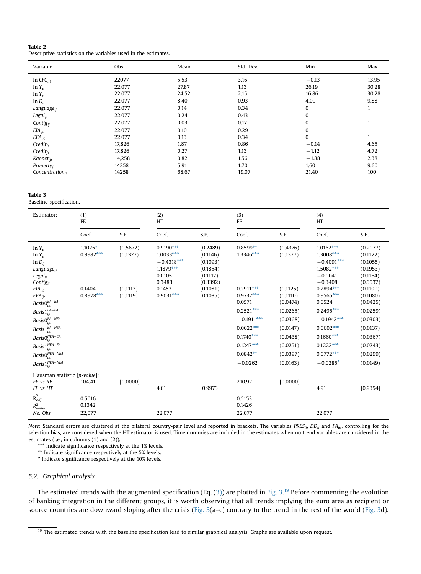| Table 2                                                        |  |
|----------------------------------------------------------------|--|
| Descriptive statistics on the variables used in the estimates. |  |

| Variable               | <b>Obs</b> | Mean  | Std. Dev. | Min          | Max   |
|------------------------|------------|-------|-----------|--------------|-------|
| In $CFC_{\text{ijt}}$  | 22077      | 5.53  | 3.16      | $-0.13$      | 13.95 |
| $ln Y_{it}$            | 22,077     | 27.87 | 1.13      | 26.19        | 30.28 |
| $ln Y_{it}$            | 22,077     | 24.52 | 2.15      | 16.86        | 30.28 |
| $ln D_{ii}$            | 22,077     | 8.40  | 0.93      | 4.09         | 9.88  |
| Language <sub>ii</sub> | 22,077     | 0.14  | 0.34      | $\mathbf{0}$ |       |
| $Legal_{ii}$           | 22,077     | 0.24  | 0.43      | $\mathbf{0}$ |       |
| Contig $_{ii}$         | 22,077     | 0.03  | 0.17      | 0            |       |
| $EIA_{ijt}$            | 22,077     | 0.10  | 0.29      | $\mathbf{0}$ |       |
| $EEA_{ijt}$            | 22,077     | 0.13  | 0.34      | $\mathbf{0}$ |       |
| $Credit_{it}$          | 17,826     | 1.87  | 0.86      | $-0.14$      | 4.65  |
| $Credit_{jt}$          | 17,826     | 0.27  | 1.13      | $-1.12$      | 4.72  |
| Kaopen <sub>it</sub>   | 14,258     | 0.82  | 1.56      | $-1.88$      | 2.38  |
| Property <sub>it</sub> | 14258      | 5.91  | 1.70      | 1.60         | 9.60  |
| Concentration $_{it}$  | 14258      | 68.67 | 19.07     | 21.40        | 100   |

#### Table 3

Baseline specification.

| Estimator:                                                                                                                                                                                                                                                                                                                                                       | (1)<br>FE                                         |                                              | (2)<br>HT                                                                                            |                                                                                              | (3)<br>FE                                                                                                                                                              |                                                                                                                                              | (4)<br>HT                                                                                                                                                                                                                      |                                                                                                                                                                                              |
|------------------------------------------------------------------------------------------------------------------------------------------------------------------------------------------------------------------------------------------------------------------------------------------------------------------------------------------------------------------|---------------------------------------------------|----------------------------------------------|------------------------------------------------------------------------------------------------------|----------------------------------------------------------------------------------------------|------------------------------------------------------------------------------------------------------------------------------------------------------------------------|----------------------------------------------------------------------------------------------------------------------------------------------|--------------------------------------------------------------------------------------------------------------------------------------------------------------------------------------------------------------------------------|----------------------------------------------------------------------------------------------------------------------------------------------------------------------------------------------|
|                                                                                                                                                                                                                                                                                                                                                                  | Coef.                                             | S.E.                                         | Coef.                                                                                                | S.E.                                                                                         | Coef.                                                                                                                                                                  | S.E.                                                                                                                                         | Coef.                                                                                                                                                                                                                          | S.E.                                                                                                                                                                                         |
| $ln Y_{it}$<br>$ln Y_{it}$<br>$ln D_{ij}$<br>Language <sub>ii</sub><br>$Legal_{ii}$<br>Contig <sub>ij</sub><br>EIA <sub>ijt</sub><br>$EEA_{ijt}$<br>$BasisO_{ijt}^{EA-EA}$<br>Basis $1_{ijt}^{EA-EA}$<br>$BasisO_{ijt}^{EA-NEA}$<br>Basis $1_{ijt}^{EA-NEA}$<br>$BasisOijtNEA-EA$<br>Basis $1_{ijt}^{NEA-EA}$<br>$BasisOijtNEA-NEA$<br>Basis $1_{ijt}^{NEA-NEA}$ | $1.1025*$<br>$0.9982***$<br>0.1404<br>$0.8978***$ | (0.5672)<br>(0.1327)<br>(0.1113)<br>(0.1119) | $0.9190***$<br>$1.0033***$<br>$-0.4318***$<br>1.1879***<br>0.0105<br>0.3483<br>0.1453<br>$0.9031***$ | (0.2489)<br>(0.1146)<br>(0.1093)<br>(0.1854)<br>(0.1117)<br>(0.3392)<br>(0.1081)<br>(0.1085) | $0.8599**$<br>1.3346***<br>$0.2911***$<br>$0.9737***$<br>0.0571<br>$0.2521***$<br>$-0.1911***$<br>$0.0622***$<br>$0.1740***$<br>$0.1247***$<br>$0.0842**$<br>$-0.0262$ | (0.4376)<br>(0.1377)<br>(0.1125)<br>(0.1110)<br>(0.0474)<br>(0.0265)<br>(0.0368)<br>(0.0147)<br>(0.0438)<br>(0.0251)<br>(0.0397)<br>(0.0163) | $1.0162***$<br>1.3008***<br>$-0.4091***$<br>1.5082***<br>$-0.0041$<br>$-0.3408$<br>$0.2894***$<br>0.9565***<br>0.0524<br>$0.2495***$<br>$-0.1942***$<br>$0.0602***$<br>$0.1660***$<br>$0.1222***$<br>$0.0772***$<br>$-0.0285*$ | (0.2077)<br>(0.1122)<br>(0.1055)<br>(0.1953)<br>(0.1164)<br>(0.3537)<br>(0.1100)<br>(0.1080)<br>(0.0425)<br>(0.0259)<br>(0.0303)<br>(0.0137)<br>(0.0367)<br>(0.0243)<br>(0.0299)<br>(0.0149) |
| Hausman statistic [p-value]:<br>FE vs RE<br>FE vs HT                                                                                                                                                                                                                                                                                                             | 104.41                                            | [0.0000]                                     | 4.61                                                                                                 | [0.9973]                                                                                     | 210.92                                                                                                                                                                 | [0.0000]                                                                                                                                     | 4.91                                                                                                                                                                                                                           | [0.9354]                                                                                                                                                                                     |
| $R_{adj}^2$<br>$R^2_{within}$<br>No. Obs.                                                                                                                                                                                                                                                                                                                        | 0.5016<br>0.1342<br>22,077                        |                                              | 22,077                                                                                               |                                                                                              | 0.5153<br>0.1426<br>22,077                                                                                                                                             |                                                                                                                                              | 22,077                                                                                                                                                                                                                         |                                                                                                                                                                                              |

Note: Standard errors are clustered at the bilateral country-pair level and reported in brackets. The variables  $PRES_{ij}$ ,  $DD_{ij}$  and  $PA_{ijt}$ , controlling for the selection bias, are considered when the HT estimator is used. Time dummies are included in the estimates when no trend variables are considered in the estimates (i.e., in columns (1) and (2)).

\*\*\* Indicate significance respectively at the 1% levels.

\*\* Indicate significance respectively at the 5% levels.

\* Indicate significance respectively at the 10% levels.

# 5.2. Graphical analysis

The estimated trends with the augmented specification (Eq. (3)) are plotted in Fig. 3.<sup>19</sup> Before commenting the evolution of banking integration in the different groups, it is worth observing that all trends implying the euro area as recipient or source countries are downward sloping after the crisis (Fig. 3(a-c) contrary to the trend in the rest of the world (Fig. 3d).

<sup>&</sup>lt;sup>19</sup> The estimated trends with the baseline specification lead to similar graphical analysis. Graphs are available upon request.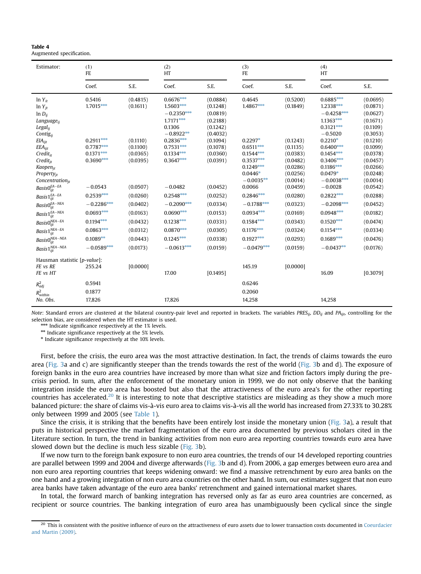| Estimator:                                                                                                                                                                                                                                                                                                                                                    | (1)<br>FE                                                                                                                                    |                                                                                                                      |                                                                                                                                                                                                       | (2)<br>HT                                                                                                                                                            |                                                                                                                                                                                  | (3)<br>FE                                                                                                                                                |                                                                                                                                                                                                                                                        | (4)<br>HT                                                                                                                                                                                                |  |
|---------------------------------------------------------------------------------------------------------------------------------------------------------------------------------------------------------------------------------------------------------------------------------------------------------------------------------------------------------------|----------------------------------------------------------------------------------------------------------------------------------------------|----------------------------------------------------------------------------------------------------------------------|-------------------------------------------------------------------------------------------------------------------------------------------------------------------------------------------------------|----------------------------------------------------------------------------------------------------------------------------------------------------------------------|----------------------------------------------------------------------------------------------------------------------------------------------------------------------------------|----------------------------------------------------------------------------------------------------------------------------------------------------------|--------------------------------------------------------------------------------------------------------------------------------------------------------------------------------------------------------------------------------------------------------|----------------------------------------------------------------------------------------------------------------------------------------------------------------------------------------------------------|--|
|                                                                                                                                                                                                                                                                                                                                                               | Coef.                                                                                                                                        | S.E.                                                                                                                 | Coef.                                                                                                                                                                                                 | S.E.                                                                                                                                                                 | Coef.                                                                                                                                                                            | S.E.                                                                                                                                                     | Coef.                                                                                                                                                                                                                                                  | S.E.                                                                                                                                                                                                     |  |
| $ln Y_{it}$<br>$ln Y_{it}$<br>$ln D_{ij}$<br>Language <sub>ii</sub><br>Legal <sub>ii</sub><br>Contigij<br>$EIA_{ijt}$<br>$EEA_{ijt}$<br>$Credit_{it}$<br>$Credit_{it}$<br>Kaopen <sub>it</sub><br>Property <sub>jt</sub><br>Concentration $_{it}$<br>$BasisO_{ijt}^{EA-EA}$<br>Basis $1_{ijt}^{EA-EA}$<br>$BasisO^{EA-NEA}_{ijt}$<br>Basis $1_{ijt}^{EA-NEA}$ | 0.5416<br>$1.7015***$<br>$0.2911***$<br>$0.7787***$<br>$0.1371***$<br>$0.3690***$<br>$-0.0543$<br>$0.2539***$<br>$-0.2286***$<br>$0.0693***$ | (0.4815)<br>(0.1611)<br>(0.1110)<br>(0.1100)<br>(0.0365)<br>(0.0395)<br>(0.0507)<br>(0.0260)<br>(0.0402)<br>(0.0163) | 0.6676***<br>1.5603***<br>$-0.2350***$<br>$1.7171***$<br>0.1306<br>$-0.8922**$<br>$0.2836***$<br>$0.7531***$<br>$0.1334***$<br>$0.3647***$<br>$-0.0482$<br>$0.2548***$<br>$-0.2090***$<br>$0.0690***$ | (0.0884)<br>(0.1248)<br>(0.0819)<br>(0.2188)<br>(0.1242)<br>(0.4032)<br>(0.1094)<br>(0.1078)<br>(0.0360)<br>(0.0391)<br>(0.0452)<br>(0.0252)<br>(0.0334)<br>(0.0153) | 0.4645<br>1.4867***<br>$0.2297*$<br>$0.6511***$<br>$0.1544***$<br>$0.3537***$<br>$0.1249***$<br>$0.0446*$<br>$-0.0035**$<br>0.0066<br>$0.2846***$<br>$-0.1788***$<br>$0.0934***$ | (0.5200)<br>(0.1849)<br>(0.1243)<br>(0.1135)<br>(0.0383)<br>(0.0482)<br>(0.0286)<br>(0.0256)<br>(0.0014)<br>(0.0459)<br>(0.0280)<br>(0.0323)<br>(0.0169) | $0.6885***$<br>$1.2338***$<br>$-0.4258***$<br>$1.1363***$<br>$0.3121***$<br>$-0.5020$<br>$0.2210*$<br>$0.6400***$<br>$0.1454***$<br>$0.3406***$<br>$0.1186***$<br>$0.0479*$<br>$-0.0038***$<br>$-0.0028$<br>$0.2822***$<br>$-0.2098***$<br>$0.0948***$ | (0.0695)<br>(0.0871)<br>(0.0627)<br>(0.1671)<br>(0.1109)<br>(0.3053)<br>(0.1210)<br>(0.1099)<br>(0.0378)<br>(0.0457)<br>(0.0266)<br>(0.0248)<br>(0.0014)<br>(0.0542)<br>(0.0288)<br>(0.0452)<br>(0.0182) |  |
| $BasisO^{NEA-EA}_{ijt}$<br>Basis $1^{NEA-EA}_{ijt}$                                                                                                                                                                                                                                                                                                           | $0.1194***$<br>$0.0863***$                                                                                                                   | (0.0432)<br>(0.0312)                                                                                                 | $0.1238***$<br>$0.0870***$                                                                                                                                                                            | (0.0331)<br>(0.0305)                                                                                                                                                 | $0.1584***$<br>$0.1176***$                                                                                                                                                       | (0.0343)<br>(0.0324)                                                                                                                                     | $0.1520***$<br>$0.1154***$                                                                                                                                                                                                                             | (0.0474)<br>(0.0334)                                                                                                                                                                                     |  |
| Basis $0_{ijt}^{NEA-NEA}$<br>Basis $1_{ijt}^{NEA-NEA}$                                                                                                                                                                                                                                                                                                        | $0.1089**$<br>$-0.0589***$                                                                                                                   | (0.0443)<br>(0.0173)                                                                                                 | $0.1245***$<br>$-0.0613***$                                                                                                                                                                           | (0.0338)<br>(0.0159)                                                                                                                                                 | $0.1927***$<br>$-0.0479***$                                                                                                                                                      | (0.0293)<br>(0.0159)                                                                                                                                     | $0.1689***$<br>$-0.0437**$                                                                                                                                                                                                                             | (0.0476)<br>(0.0176)                                                                                                                                                                                     |  |
| Hausman statistic [p-value]:<br>FE vs RE<br>FE vs HT                                                                                                                                                                                                                                                                                                          | 255.24                                                                                                                                       | [0.0000]                                                                                                             | 17.00                                                                                                                                                                                                 | [0.1495]                                                                                                                                                             | 145.19                                                                                                                                                                           | [0.0000]                                                                                                                                                 | 16.09                                                                                                                                                                                                                                                  | [0.3079]                                                                                                                                                                                                 |  |
| $R^2_{adj}$<br>$R_{within}^2$<br>No. Obs.                                                                                                                                                                                                                                                                                                                     | 0.5941<br>0.1877<br>17,826                                                                                                                   |                                                                                                                      | 17,826                                                                                                                                                                                                |                                                                                                                                                                      | 0.6246<br>0.2060<br>14,258                                                                                                                                                       |                                                                                                                                                          | 14,258                                                                                                                                                                                                                                                 |                                                                                                                                                                                                          |  |

\*\*\* Indicate significance respectively at the 1% levels. \*\* Indicate significance respectively at the 5% levels. \* Indicate significance respectively at the 10% levels.

Note: Standard errors are clustered at the bilateral country-pair level and reported in brackets. The variables PRES<sub>ii</sub>, DD<sub>ii</sub> and PA<sub>iit</sub>, controlling for the

selection bias, are considered when the HT estimator is used.

Table 4

Augmented specification.

First, before the crisis, the euro area was the most attractive destination. In fact, the trends of claims towards the euro area (Fig. 3a and c) are significantly steeper than the trends towards the rest of the world (Fig. 3b and d). The exposure of foreign banks in the euro area countries have increased by more than what size and friction factors imply during the precrisis period. In sum, after the enforcement of the monetary union in 1999, we do not only observe that the banking integration inside the euro area has boosted but also that the attractiveness of the euro area's for the other reporting countries has accelerated.<sup>20</sup> It is interesting to note that descriptive statistics are misleading as they show a much more balanced picture: the share of claims vis-à-vis euro area to claims vis-à-vis all the world has increased from 27.33% to 30.28% only between 1999 and 2005 (see Table 1).

Since the crisis, it is striking that the benefits have been entirely lost inside the monetary union (Fig. 3a), a result that puts in historical perspective the marked fragmentation of the euro area documented by previous scholars cited in the Literature section. In turn, the trend in banking activities from non euro area reporting countries towards euro area have slowed down but the decline is much less sizable (Fig. 3b).

If we now turn to the foreign bank exposure to non euro area countries, the trends of our 14 developed reporting countries are parallel between 1999 and 2004 and diverge afterwards (Fig. 3b and d). From 2006, a gap emerges between euro area and non euro area reporting countries that keeps widening onward: we find a massive retrenchment by euro area banks on the one hand and a growing integration of non euro area countries on the other hand. In sum, our estimates suggest that non euro area banks have taken advantage of the euro area banks' retrenchment and gained international market shares.

In total, the forward march of banking integration has reversed only as far as euro area countries are concerned, as recipient or source countries. The banking integration of euro area has unambiguously been cyclical since the single

 $^{20}$  This is consistent with the positive influence of euro on the attractiveness of euro assets due to lower transaction costs documented in Coeurdacier and Martin (2009).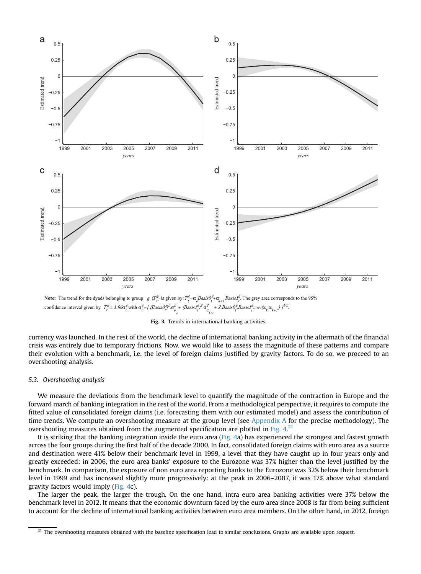

**Note:** The trend for the dyads belonging to group  $g(T_p^g)$  is given by:  $T_p^g = \alpha_k Basis0_{f+}^g \alpha_{k-1} Basis1_{f+}^g$ . The grey area corresponds to the 95% 

Fig. 3. Trends in international banking activities.

currency was launched. In the rest of the world, the decline of international banking activity in the aftermath of the financial crisis was entirely due to temporary frictions. Now, we would like to assess the magnitude of these patterns and compare their evolution with a benchmark, i.e. the level of foreign claims justified by gravity factors. To do so, we proceed to an overshooting analysis.

# 5.3. Overshooting analysis

We measure the deviations from the benchmark level to quantify the magnitude of the contraction in Europe and the forward march of banking integration in the rest of the world. From a methodological perspective, it requires to compute the fitted value of consolidated foreign claims (i.e. forecasting them with our estimated model) and assess the contribution of time trends. We compute an overshooting measure at the group level (see Appendix A for the precise methodology). The overshooting measures obtained from the augmented specification are plotted in Fig.  $4^{21}$ 

It is striking that the banking integration inside the euro area (Fig. 4a) has experienced the strongest and fastest growth across the four groups during the first half of the decade 2000. In fact, consolidated foreign claims with euro area as a source and destination were 41% below their benchmark level in 1999, a level that they have caught up in four years only and greatly exceeded: in 2006, the euro area banks' exposure to the Eurozone was 37% higher than the level justified by the benchmark. In comparison, the exposure of non euro area reporting banks to the Eurozone was 32% below their benchmark level in 1999 and has increased slightly more progressively: at the peak in 2006–2007, it was 17% above what standard gravity factors would imply (Fig. 4c).

The larger the peak, the larger the trough. On the one hand, intra euro area banking activities were 37% below the benchmark level in 2012. It means that the economic downturn faced by the euro area since 2008 is far from being sufficient to account for the decline of international banking activities between euro area members. On the other hand, in 2012, foreign

 $21$  The overshooting measures obtained with the baseline specification lead to similar conclusions. Graphs are available upon request.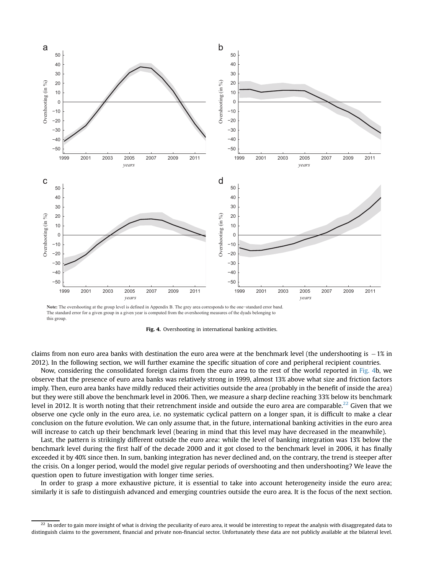

**Note:** The overshooting at the group level is defined in Appendix B. The grey area corresponds to the one−standard error band. The standard error for a given group in a given year is computed from the overshooting measures of the dyads belonging to this group.



claims from non euro area banks with destination the euro area were at the benchmark level (the undershooting is  $-1\%$  in 2012). In the following section, we will further examine the specific situation of core and peripheral recipient countries.

Now, considering the consolidated foreign claims from the euro area to the rest of the world reported in Fig. 4b, we observe that the presence of euro area banks was relatively strong in 1999, almost 13% above what size and friction factors imply. Then, euro area banks have mildly reduced their activities outside the area (probably in the benefit of inside the area) but they were still above the benchmark level in 2006. Then, we measure a sharp decline reaching 33% below its benchmark level in 2012. It is worth noting that their retrenchment inside and outside the euro area are comparable.<sup>22</sup> Given that we observe one cycle only in the euro area, i.e. no systematic cyclical pattern on a longer span, it is difficult to make a clear conclusion on the future evolution. We can only assume that, in the future, international banking activities in the euro area will increase to catch up their benchmark level (bearing in mind that this level may have decreased in the meanwhile).

Last, the pattern is strikingly different outside the euro area: while the level of banking integration was 13% below the benchmark level during the first half of the decade 2000 and it got closed to the benchmark level in 2006, it has finally exceeded it by 40% since then. In sum, banking integration has never declined and, on the contrary, the trend is steeper after the crisis. On a longer period, would the model give regular periods of overshooting and then undershooting? We leave the question open to future investigation with longer time series.

In order to grasp a more exhaustive picture, it is essential to take into account heterogeneity inside the euro area; similarly it is safe to distinguish advanced and emerging countries outside the euro area. It is the focus of the next section.

 $^{22}$  In order to gain more insight of what is driving the peculiarity of euro area, it would be interesting to repeat the analysis with disaggregated data to distinguish claims to the government, financial and private non-financial sector. Unfortunately these data are not publicly available at the bilateral level.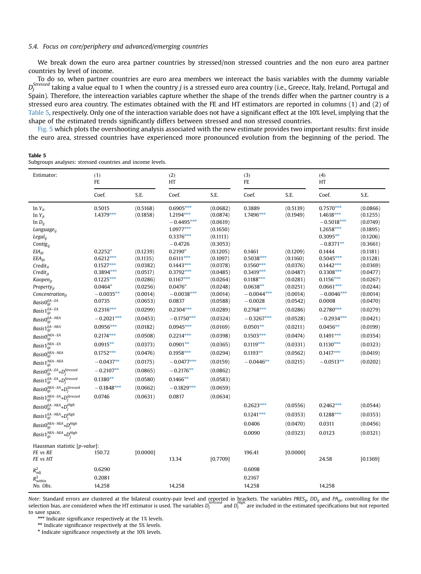#### 5.4. Focus on core/periphery and advanced/emerging countries

We break down the euro area partner countries by stressed/non stressed countries and the non euro area partner countries by level of income.

To do so, when partner countries are euro area members we intereact the basis variables with the dummy variable  $D_j^{Stressed}$  taking a value equal to 1 when the country  $j$  is a stressed euro area country (i.e., Greece, Italy, Ireland, Portugal and Spain). Therefore, the intereaction variables capture whether the shape of the trends differ when the partner country is a stressed euro area country. The estimates obtained with the FE and HT estimators are reported in columns (1) and (2) of Table 5, respectively. Only one of the interaction variable does not have a significant effect at the 10% level, implying that the shape of the estimated trends significantly differs between stressed and non stressed countries.

Fig. 5 which plots the overshooting analysis associated with the new estimate provides two important results: first inside the euro area, stressed countries have experienced more pronounced evolution from the beginning of the period. The

#### Table 5

Subgroups analyses: stressed countries and income levels.

| Estimator:                                                                                                                                                                                                              | (1)<br>FE                                                                                         |                                                                                  | (2)<br>HT                                                                                          |                                                                                  | (3)<br>FE                                                                                         |                                                                                  | (4)<br>HT                                                                                          |                                                                                  |
|-------------------------------------------------------------------------------------------------------------------------------------------------------------------------------------------------------------------------|---------------------------------------------------------------------------------------------------|----------------------------------------------------------------------------------|----------------------------------------------------------------------------------------------------|----------------------------------------------------------------------------------|---------------------------------------------------------------------------------------------------|----------------------------------------------------------------------------------|----------------------------------------------------------------------------------------------------|----------------------------------------------------------------------------------|
|                                                                                                                                                                                                                         | Coef.                                                                                             | S.E.                                                                             | Coef.                                                                                              | S.E.                                                                             | Coef.                                                                                             | S.E.                                                                             | Coef.                                                                                              | S.E.                                                                             |
| $ln Y_{it}$<br>$ln Y_{jt}$<br>$ln D_{ij}$<br>Language <sub>ii</sub><br>$Legal_{ij}$<br>Contig $_{ij}$                                                                                                                   | 0.5015<br>1.4379***                                                                               | (0.5168)<br>(0.1858)                                                             | $0.6905***$<br>$1.2194***$<br>$-0.4495***$<br>1.0977***<br>$0.3376***$<br>$-0.4726$                | (0.0682)<br>(0.0874)<br>(0.0619)<br>(0.1650)<br>(0.1113)<br>(0.3053)             | 0.3889<br>1.7496***                                                                               | (0.5139)<br>(0.1949)                                                             | $0.7570***$<br>$1.4618***$<br>$-0.5018***$<br>$1.2658***$<br>$0.3095**$<br>$-0.8371**$             | (0.0866)<br>(0.1255)<br>(0.0749)<br>(0.1895)<br>(0.1206)<br>(0.3661)             |
| $EIA_{ijt}$<br>$EEA_{ijt}$<br>$Credit_{it}$<br>$Credit_{it}$<br>Kaopen <sub>jt</sub><br>Property <sub>it</sub><br>Concentration $_{it}$                                                                                 | $0.2252*$<br>$0.6212***$<br>$0.1527***$<br>$0.3894***$<br>$0.1225***$<br>$0.0464*$<br>$-0.0035**$ | (0.1239)<br>(0.1135)<br>(0.0382)<br>(0.0517)<br>(0.0286)<br>(0.0256)<br>(0.0014) | $0.2190*$<br>$0.6111***$<br>$0.1443***$<br>$0.3792***$<br>$0.1167***$<br>$0.0476*$<br>$-0.0038***$ | (0.1205)<br>(0.1097)<br>(0.0378)<br>(0.0485)<br>(0.0264)<br>(0.0248)<br>(0.0014) | 0.1461<br>$0.5038***$<br>$0.1560***$<br>$0.3419***$<br>$0.1188***$<br>$0.0638**$<br>$-0.0044$ *** | (0.1209)<br>(0.1160)<br>(0.0376)<br>(0.0487)<br>(0.0281)<br>(0.0251)<br>(0.0014) | 0.1444<br>$0.5045***$<br>$0.1442***$<br>$0.3308***$<br>$0.1156***$<br>$0.0661***$<br>$-0.0046$ *** | (0.1181)<br>(0.1128)<br>(0.0369)<br>(0.0477)<br>(0.0267)<br>(0.0244)<br>(0.0014) |
| BasisO <sub>ijt</sub> <sup>EA–EA</sup><br>Basis $1_{ijt}^{EA-EA}$                                                                                                                                                       | 0.0735<br>$0.2316***$                                                                             | (0.0653)<br>(0.0299)                                                             | 0.0837<br>$0.2304***$                                                                              | (0.0588)<br>(0.0289)                                                             | $-0.0028$<br>$0.2768***$                                                                          | (0.0542)<br>(0.0286)                                                             | 0.0008<br>$0.2780***$                                                                              | (0.0470)<br>(0.0279)                                                             |
| $Basis0^{EA-NEA}_{ijt}$<br>$Basis1^{EA-NEA}_{ijt}$<br>$BasisO^{NEA-EA}_{ijt}$<br>Basis $1_{ijt}^{NEA-EA}$<br>$BasisOijtNEA-NEA$<br>Basis $1_{ijt}^{NEA-NEA}$                                                            | $-0.2021***$<br>$0.0956***$<br>$0.2174***$<br>$0.0915***$<br>$0.1752***$<br>$-0.0437**$           | (0.0453)<br>(0.0182)<br>(0.0508)<br>(0.0373)<br>(0.0476)<br>(0.0175)             | $-0.1750***$<br>$0.0945***$<br>$0.2214***$<br>$0.0901**$<br>$0.1958***$<br>$-0.0477***$            | (0.0324)<br>(0.0169)<br>(0.0398)<br>(0.0365)<br>(0.0294)<br>(0.0159)             | $-0.3267***$<br>$0.0501***$<br>$0.1503***$<br>$0.1119***$<br>$0.1193**$<br>$-0.0446**$            | (0.0528)<br>(0.0211)<br>(0.0474)<br>(0.0331)<br>(0.0562)<br>(0.0215)             | $-0.2934***$<br>$0.0456**$<br>$0.1491***$<br>$0.1130***$<br>$0.1417***$<br>$-0.0513**$             | (0.0421)<br>(0.0199)<br>(0.0354)<br>(0.0323)<br>(0.0419)<br>(0.0202)             |
| $Basis0^{EA-EA}_{ijt} \ast D^{Stressed}_j$<br>$Basis1_{ijt}^{EA-EA}*D_{j}^{Stressed}% \label{Bess1}%$<br>$BasisO^{NEA-EA}_{ijt} {\bf \ast } D^{Stressed}_j$<br>$Basis1_{ijt}^{NEA-EA}*D_{j}^{Stressed}% \label{eq:1}%$  | $-0.2107**$<br>$0.1380**$<br>$-0.1848***$<br>0.0746                                               | (0.0865)<br>(0.0580)<br>(0.0662)<br>(0.0631)                                     | $-0.2176**$<br>$0.1466***$<br>$-0.1829***$<br>0.0817                                               | (0.0862)<br>(0.0583)<br>(0.0659)<br>(0.0634)                                     |                                                                                                   |                                                                                  |                                                                                                    |                                                                                  |
| $Basis0^{EA-NEA}_{ijt} \mbox{\footnotesize{$\ast$}} D^{High}_j$<br>$Basis1^{EA-NEA}_{ijt} {\bf \ast } D^{High}_j$<br>$BasisO^{NEA-NEA}_{ijt} {\bf \ast } D^{High}_j$<br>$Basis1^{NEA-NEA}_{ijt} {\bf \ast } D^{High}_j$ |                                                                                                   |                                                                                  |                                                                                                    |                                                                                  | $0.2623***$<br>$0.1241***$<br>0.0406<br>0.0090                                                    | (0.0556)<br>(0.0353)<br>(0.0470)<br>(0.0323)                                     | $0.2462$ **<br>$0.1288***$<br>0.0311<br>0.0123                                                     | (0.0544)<br>(0.0353)<br>(0.0456)<br>(0.0321)                                     |
| Hausman statistic [p-value]:<br>FE vs RE<br>FE vs HT                                                                                                                                                                    | 150.72<br>0.6290                                                                                  | [0.0000]                                                                         | 13.34                                                                                              | [0.7709]                                                                         | 196.41<br>0.6098                                                                                  | [0.0000]                                                                         | 24.58                                                                                              | [0.1369]                                                                         |
| $R_{adj}^2$<br>$R_{within}^2$<br>No. Obs.                                                                                                                                                                               | 0.2081<br>14,258                                                                                  |                                                                                  | 14,258                                                                                             |                                                                                  | 0.2167<br>14,258                                                                                  |                                                                                  | 14,258                                                                                             |                                                                                  |

Note: Standard errors are clustered at the bilateral country-pair level and reported in brackets. The variables PRES<sub>ij</sub>, DD<sub>ij</sub> and PA<sub>ijt</sub>, controlling for the selection bias, are considered when the HT estimator is used. The variables  $D_j$  and  $D_j$  are included in the estimated specifications but not reported specifications but not reported to save space.

\*\*\* Indicate significance respectively at the 1% levels.

\*\* Indicate significance respectively at the 5% levels.

\* Indicate significance respectively at the 10% levels.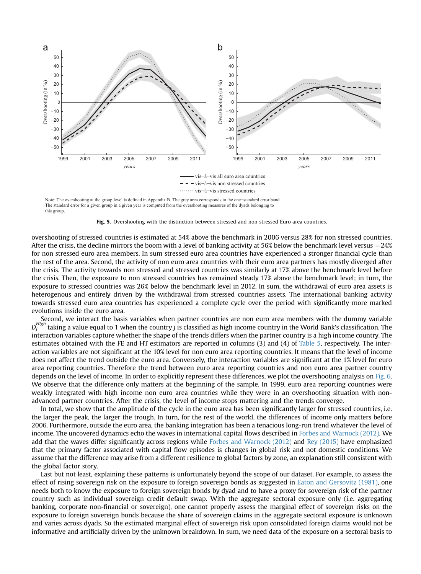

Note: The overshooting at the group level is defined in Appendix B. The grey area corresponds to the one−standard error band. The standard error for a given group in a given year is computed from the overshooting measures of the dyads belonging to this group.

Fig. 5. Overshooting with the distinction between stressed and non stressed Euro area countries.

overshooting of stressed countries is estimated at 54% above the benchmark in 2006 versus 28% for non stressed countries. After the crisis, the decline mirrors the boom with a level of banking activity at 56% below the benchmark level versus -24% for non stressed euro area members. In sum stressed euro area countries have experienced a stronger financial cycle than the rest of the area. Second, the activity of non euro area countries with their euro area partners has mostly diverged after the crisis. The activity towards non stressed and stressed countries was similarly at 17% above the benchmark level before the crisis. Then, the exposure to non stressed countries has remained steady 17% above the benchmark level; in turn, the exposure to stressed countries was 26% below the benchmark level in 2012. In sum, the withdrawal of euro area assets is heterogenous and entirely driven by the withdrawal from stressed countries assets. The international banking activity towards stressed euro area countries has experienced a complete cycle over the period with significantly more marked evolutions inside the euro area.

Second, we interact the basis variables when partner countries are non euro area members with the dummy variable  $D_i^{High}$ taking a value equal to 1 when the country *j* is classified as high income country in the World Bank's classification. The interaction variables capture whether the shape of the trends differs when the partner country is a high income country. The estimates obtained with the FE and HT estimators are reported in columns (3) and (4) of Table 5, respectively. The interaction variables are not significant at the 10% level for non euro area reporting countries. It means that the level of income does not affect the trend outside the euro area. Conversely, the interaction variables are significant at the 1% level for euro area reporting countries. Therefore the trend between euro area reporting countries and non euro area partner country depends on the level of income. In order to explicitly represent these differences, we plot the overshooting analysis on Fig. 6. We observe that the difference only matters at the beginning of the sample. In 1999, euro area reporting countries were weakly integrated with high income non euro area countries while they were in an overshooting situation with nonadvanced partner countries. After the crisis, the level of income stops mattering and the trends converge.

In total, we show that the amplitude of the cycle in the euro area has been significantly larger for stressed countries, i.e. the larger the peak, the larger the trough. In turn, for the rest of the world, the differences of income only matters before 2006. Furthermore, outside the euro area, the banking integration has been a tenacious long-run trend whatever the level of income. The uncovered dynamics echo the waves in international capital flows described in Forbes and Warnock (2012). We add that the waves differ significantly across regions while Forbes and Warnock (2012) and Rey (2015) have emphasized that the primary factor associated with capital flow episodes is changes in global risk and not domestic conditions. We assume that the difference may arise from a different resilience to global factors by zone, an explanation still consistent with the global factor story.

Last but not least, explaining these patterns is unfortunately beyond the scope of our dataset. For example, to assess the effect of rising sovereign risk on the exposure to foreign sovereign bonds as suggested in Eaton and Gersovitz (1981), one needs both to know the exposure to foreign sovereign bonds by dyad and to have a proxy for sovereign risk of the partner country such as individual sovereign credit default swap. With the aggregate sectoral exposure only (i.e. aggregating banking, corporate non-financial or sovereign), one cannot properly assess the marginal effect of sovereign risks on the exposure to foreign sovereign bonds because the share of sovereign claims in the aggregate sectoral exposure is unknown and varies across dyads. So the estimated marginal effect of sovereign risk upon consolidated foreign claims would not be informative and artificially driven by the unknown breakdown. In sum, we need data of the exposure on a sectoral basis to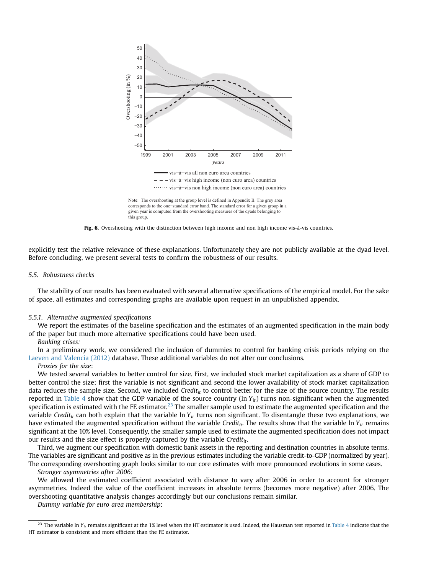

corresponds to the one−standard error band. The standard error for a given group in a given year is computed from the overshooting measures of the dyads belonging to this group.

Fig. 6. Overshooting with the distinction between high income and non high income vis-à-vis countries.

explicitly test the relative relevance of these explanations. Unfortunately they are not publicly available at the dyad level. Before concluding, we present several tests to confirm the robustness of our results.

#### 5.5. Robustness checks

The stability of our results has been evaluated with several alternative specifications of the empirical model. For the sake of space, all estimates and corresponding graphs are available upon request in an unpublished appendix.

#### 5.5.1. Alternative augmented specifications

We report the estimates of the baseline specification and the estimates of an augmented specification in the main body of the paper but much more alternative specifications could have been used.

# Banking crises:

In a preliminary work, we considered the inclusion of dummies to control for banking crisis periods relying on the Laeven and Valencia (2012) database. These additional variables do not alter our conclusions.

# Proxies for the size:

We tested several variables to better control for size. First, we included stock market capitalization as a share of GDP to better control the size; first the variable is not significant and second the lower availability of stock market capitalization data reduces the sample size. Second, we included Credit<sub>it</sub> to control better for the size of the source country. The results reported in Table 4 show that the GDP variable of the source country (ln  $Y_{it}$ ) turns non-significant when the augmented specification is estimated with the FE estimator.<sup>23</sup> The smaller sample used to estimate the augmented specification and the variable Credit<sub>it</sub> can both explain that the variable ln Y<sub>it</sub> turns non significant. To disentangle these two explanations, we have estimated the augmented specification without the variable Credit<sub>it</sub>. The results show that the variable ln Y<sub>it</sub> remains significant at the 10% level. Consequently, the smaller sample used to estimate the augmented specification does not impact our results and the size effect is properly captured by the variable Credit<sub>it</sub>.

Third, we augment our specification with domestic bank assets in the reporting and destination countries in absolute terms. The variables are significant and positive as in the previous estimates including the variable credit-to-GDP (normalized by year). The corresponding overshooting graph looks similar to our core estimates with more pronounced evolutions in some cases.

Stronger asymmetries after 2006:

We allowed the estimated coefficient associated with distance to vary after 2006 in order to account for stronger asymmetries. Indeed the value of the coefficient increases in absolute terms (becomes more negative) after 2006. The overshooting quantitative analysis changes accordingly but our conclusions remain similar.

Dummy variable for euro area membership:

<sup>&</sup>lt;sup>23</sup> The variable ln Y<sub>it</sub> remains significant at the 1% level when the HT estimator is used. Indeed, the Hausman test reported in Table 4 indicate that the HT estimator is consistent and more efficient than the FE estimator.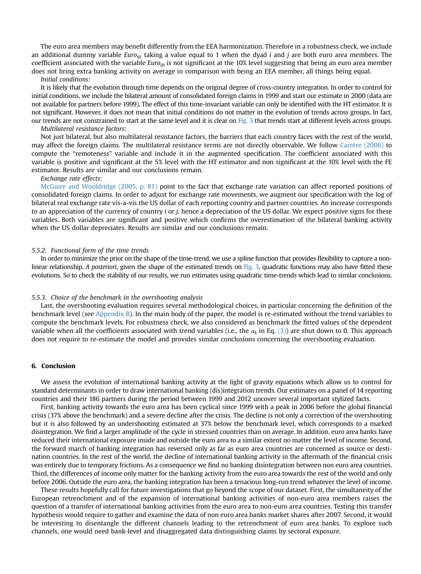The euro area members may benefit differently from the EEA harmonization. Therefore in a robustness check, we include an additional dummy variable Euro<sub>iit</sub> taking a value equal to 1 when the dyad *i* and *j* are both euro area members. The coefficient associated with the variable Euro $_{i}$  is not significant at the 10% level suggesting that being an euro area member does not bring extra banking activity on average in comparison with being an EEA member, all things being equal.

### Initial conditions:

It is likely that the evolution through time depends on the original degree of cross-country integration. In order to control for initial conditions, we include the bilateral amount of consolidated foreign claims in 1999 and start our estimate in 2000 (data are not available for partners before 1999). The effect of this time-invariant variable can only be identified with the HT estimator. It is not significant. However, it does not mean that initial conditions do not matter in the evolution of trends across groups. In fact, our trends are not constrained to start at the same level and it is clear on Fig. 3 that trends start at different levels across groups.

# Multilateral resistance factors:

Not just bilateral, but also multilateral resistance factors, the barriers that each country faces with the rest of the world, may affect the foreign claims. The multilateral resistance terms are not directly observable. We follow Carrère (2006) to compute the "remoteness" variable and include it in the augmented specification. The coefficient associated with this variable is positive and significant at the 5% level with the HT estimator and non significant at the 10% level with the FE estimator. Results are similar and our conclusions remain.

# Exchange rate effects:

McGuire and Wooldridge (2005, p. 81) point to the fact that exchange rate variation can affect reported positions of consolidated foreign claims. In order to adjust for exchange rate movements, we augment our specification with the log of bilateral real exchange rate vis-a-vis the US dollar of each reporting country and partner countries. An increase corresponds to an appreciation of the currency of country i or j, hence a depreciation of the US dollar. We expect positive signs for these variables. Both variables are significant and positive which confirms the overestimation of the bilateral banking activity when the US dollar depreciates. Results are similar and our conclusions remain.

#### 5.5.2. Functional form of the time trends

In order to minimize the prior on the shape of the time-trend, we use a spline function that provides flexibility to capture a nonlinear relationship. A posteriori, given the shape of the estimated trends on Fig. 3, quadratic functions may also have fitted these evolutions. So to check the stability of our results, we run estimates using quadratic time-trends which lead to similar conclusions.

#### 5.5.3. Choice of the benchmark in the overshooting analysis

Last, the overshooting evaluation requires several methodological choices, in particular concerning the definition of the benchmark level (see Appendix B). In the main body of the paper, the model is re-estimated without the trend variables to compute the benchmark levels. For robustness check, we also considered as benchmark the fitted values of the dependent variable when all the coefficients associated with trend variables (i.e., the  $\alpha_k$  in Eq. (3)) are shut down to 0. This approach does not require to re-estimate the model and provides similar conclusions concerning the overshooting evaluation.

# 6. Conclusion

We assess the evolution of international banking activity at the light of gravity equations which allow us to control for standard determinants in order to draw international banking (dis)integration trends. Our estimates on a panel of 14 reporting countries and their 186 partners during the period between 1999 and 2012 uncover several important stylized facts.

First, banking activity towards the euro area has been cyclical since 1999 with a peak in 2006 before the global financial crisis (37% above the benchmark) and a severe decline after the crisis. The decline is not only a correction of the overshooting but it is also followed by an undershooting estimated at 37% below the benchmark level, which corresponds to a marked disintegration. We find a larger amplitude of the cycle in stressed countries than on average. In addition, euro area banks have reduced their international exposure inside and outside the euro area to a similar extent no matter the level of income. Second, the forward march of banking integration has reversed only as far as euro area countries are concerned as source or destination countries. In the rest of the world, the decline of international banking activity in the aftermath of the financial crisis was entirely due to temporary frictions. As a consequence we find no banking disintegration between non euro area countries. Third, the differences of income only matter for the banking activity from the euro area towards the rest of the world and only before 2006. Outside the euro area, the banking integration has been a tenacious long-run trend whatever the level of income.

These results hopefully call for future investigations that go beyond the scope of our dataset. First, the simultaneity of the European retrenchment and of the expansion of international banking activities of non-euro area members raises the question of a transfer of international banking activities from the euro area to non-euro area countries. Testing this transfer hypothesis would require to gather and examine the data of non euro area banks market shares after 2007. Second, it would be interesting to disentangle the different channels leading to the retrenchment of euro area banks. To explore such channels, one would need bank-level and disaggregated data distinguishing claims by sectoral exposure.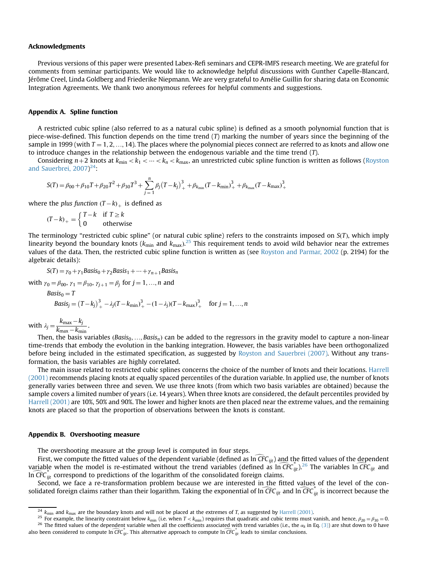## Acknowledgments

Previous versions of this paper were presented Labex-Refi seminars and CEPR-IMFS research meeting. We are grateful for comments from seminar participants. We would like to acknowledge helpful discussions with Gunther Capelle-Blancard, Jérôme Creel, Linda Goldberg and Friederike Niepmann. We are very grateful to Amélie Guillin for sharing data on Economic Integration Agreements. We thank two anonymous referees for helpful comments and suggestions.

### Appendix A. Spline function

A restricted cubic spline (also referred to as a natural cubic spline) is defined as a smooth polynomial function that is piece-wise-defined. This function depends on the time trend  $(T)$  marking the number of years since the beginning of the sample in 1999 (with  $T = 1, 2, ..., 14$ ). The places where the polynomial pieces connect are referred to as knots and allow one to introduce changes in the relationship between the endogenous variable and the time trend (T).

Considering  $n+2$  knots at  $k_{\min} < k_1 < \cdots < k_n < k_{\max}$ , an unrestricted cubic spline function is written as follows (Royston and Sauerbrei, 2007)<sup>24</sup>:

$$
S(T) = \beta_{00} + \beta_{10}T + \beta_{20}T^{2} + \beta_{30}T^{3} + \sum_{j=1}^{n} \beta_{j}(T - k_{j})_{+}^{3} + \beta_{k_{\min}}(T - k_{\min})_{+}^{3} + \beta_{k_{\max}}(T - k_{\max})_{+}^{3}
$$

where the plus function  $(T-k)_+$  is defined as

$$
(T-k)_{+} = \begin{cases} T-k & \text{if } T \ge k \\ 0 & \text{otherwise} \end{cases}
$$

The terminology "restricted cubic spline" (or natural cubic spline) refers to the constraints imposed on  $S(T)$ , which imply linearity beyond the boundary knots  $(k_{min}$  and  $k_{max}$ ).<sup>25</sup> This requirement tends to avoid wild behavior near the extremes values of the data. Then, the restricted cubic spline function is written as (see Royston and Parmar, 2002 (p. 2194) for the algebraic details):

$$
S(T) = \gamma_0 + \gamma_1 \text{Basis}_0 + \gamma_2 \text{Basis}_1 + \dots + \gamma_{n+1} \text{Basis}_n
$$

with  $\gamma_0 = \beta_{00}, \gamma_1 = \beta_{10}, \gamma_{i+1} = \beta_i$  for  $j = 1, ..., n$  and

$$
Basis_0 = T
$$
  
\n
$$
Basis_j = (T - k_j)_+^3 - \lambda_j (T - k_{\min})_+^3 - (1 - \lambda_j)(T - k_{\max})_+^3 \quad \text{for } j = 1, ..., n
$$

with  $\lambda_j = \frac{k_{\text{max}} - k_j}{k_{\text{max}} - k_{\text{min}}}$  $\frac{k_{\text{max}} - k_{\text{min}}}{k_{\text{max}} - k_{\text{min}}}.$ 

Then, the basis variables ( $Basis_0, \ldots, Basis_n$ ) can be added to the regressors in the gravity model to capture a non-linear time-trends that embody the evolution in the banking integration. However, the basis variables have been orthogonalized before being included in the estimated specification, as suggested by Royston and Sauerbrei (2007). Without any transformation, the basis variables are highly correlated.

The main issue related to restricted cubic splines concerns the choice of the number of knots and their locations. Harrell (2001) recommends placing knots at equally spaced percentiles of the duration variable. In applied use, the number of knots generally varies between three and seven. We use three knots (from which two basis variables are obtained) because the sample covers a limited number of years (i.e. 14 years). When three knots are considered, the default percentiles provided by Harrell (2001) are 10%, 50% and 90%. The lower and higher knots are then placed near the extreme values, and the remaining knots are placed so that the proportion of observations between the knots is constant.

# Appendix B. Overshooting measure

The overshooting measure at the group level is computed in four steps.

First, we compute the fitted values of the dependent variable (defined as  $\widehat{CFC}_{ijt}$ ) and the fitted values of the dependent variable when the model is re-estimated without the trend variables (defined as  $\ln \widehat{CFC}_{ijt}$ ).<sup>26</sup> The variables ln  $\widehat{CFC}_{ijt}$  and In  $\widehat{CFC}_{ijt}$  correspond to predictions of the logarithm of the consolidated foreign claims.

Second, we face a re-transformation problem because we are interested in the fitted values of the level of the consolidated foreign claims rather than their logarithm. Taking the exponential of  $\ln \overline{\text{CFC}}_{ijt}$  and  $\ln \overline{\text{CFC}}_{ijt}$  is incorrect because the

 $\frac{24}{24}$   $k_{\text{min}}$  and  $k_{\text{max}}$  are the boundary knots and will not be placed at the extremes of T, as suggested by Harrell (2001).<br><sup>25</sup> For example, the linearity constraint below  $k_{\text{min}}$  (i.e. when  $T < k_{\text{min}}$ ) re also been considered to compute  $\ln \widehat{CFC}_{ijt}$ . This alternative approach to compute  $\ln \widehat{CFC}_{ijt}$  leads to similar conclusions.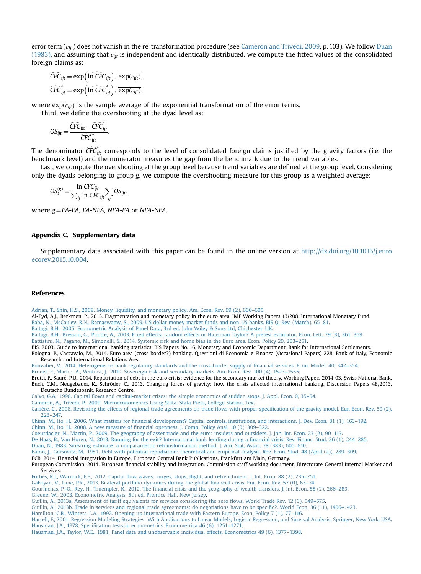error term  $(\epsilon_{ii})$  does not vanish in the re-transformation procedure (see Cameron and Trivedi, 2009, p. 103). We follow Duan (1983), and assuming that  $\varepsilon_{ijt}$  is independent and identically distributed, we compute the fitted values of the consolidated foreign claims as:

$$
\widehat{CFC}_{ijt} = \exp\left(\ln \widehat{CFC}_{ijt}\right) \cdot \overline{\exp(\epsilon_{ijt})},
$$
  

$$
\widehat{CFC}_{ijt}^* = \exp\left(\ln \widehat{CFC}_{ijt}^*\right) \cdot \overline{\exp(\epsilon_{ijt})},
$$

where  $\overline{\exp(\varepsilon_{ijt})}$  is the sample average of the exponential transformation of the error terms.

Third, we define the overshooting at the dyad level as:

$$
OS_{ijt} = \frac{\widehat{CFC}_{ijt} - \widehat{CFC}_{ijt}^*}{\widehat{CFC}_{ijt}^*}.
$$

The denominator  $\widehat{CFC}_{ijt}^*$  corresponds to the level of consolidated foreign claims justified by the gravity factors (i.e. the benchmark level) and the numerator measures the gap from the benchmark due to the trend variables.

Last, we compute the overshooting at the group level because trend variables are defined at the group level. Considering only the dyads belonging to group g, we compute the overshooting measure for this group as a weighted average:

$$
OS_t^{(g)} = \frac{\ln CFC_{ijt}}{\sum_{ij} \ln CFC_{ijt}} \sum_{ij} OS_{ijt},
$$

where  $g = EA$ -EA, EA-NEA, NEA-EA or NEA-NEA.

# Appendix C. Supplementary data

Supplementary data associated with this paper can be found in the online version at [http://dx.doi.org/10.1016/j.euro](http://dx.doi.org/10.1016/j.euroecorev.2015.10.004) [ecorev.2015.10.004](http://dx.doi.org/10.1016/j.euroecorev.2015.10.004).

#### References

[Adrian, T., Shin, H.S., 2009. Money, liquidity, and monetary policy. Am. Econ. Rev. 99 \(2\), 600](http://refhub.elsevier.com/S0014-2921(15)00153-1/sbref1)–605. Al-Eyd, A.J., Berkmen, P., 2013. Fragmentation and monetary policy in the euro area. IMF Working Papers 13/208, International Monetary Fund. [Baba, N., McCauley, R.N., Ramaswamy, S., 2009. US dollar money market funds and non-US banks. BIS Q. Rev. \(March\), 65](http://refhub.elsevier.com/S0014-2921(15)00153-1/sbref3)–81. [Baltagi, B.H., 2005. Econometric Analysis of Panel Data, 3rd ed. John Wiley](http://refhub.elsevier.com/S0014-2921(15)00153-1/sbref4) & [Sons Ltd, Chichester, UK.](http://refhub.elsevier.com/S0014-2921(15)00153-1/sbref4) [Baltagi, B.H., Bresson, G., Pirotte, A., 2003. Fixed effects, random effects or Hausman-Taylor? A pretest estimator. Econ. Lett. 79 \(3\), 361](http://refhub.elsevier.com/S0014-2921(15)00153-1/sbref5)–369. [Battistini, N., Pagano, M., Simonelli, S., 2014. Systemic risk and home bias in the Euro area. Econ. Policy 29, 203](http://refhub.elsevier.com/S0014-2921(15)00153-1/sbref1006)–251. BIS, 2003. Guide to international banking statistics. BIS Papers No. 16, Monetary and Economic Department, Bank for International Settlements. Bologna, P., Caccavaio, M., 2014. Euro area (cross-border?) banking. Questioni di Economia e Finanza (Occasional Papers) 228, Bank of Italy, Economic Research and International Relations Area. [Bouvatier, V., 2014. Heterogeneous bank regulatory standards and the cross-border supply of](http://refhub.elsevier.com/S0014-2921(15)00153-1/sbref9) financial services. Econ. Model. 40, 342–354. [Broner, F., Martin, A., Ventura, J., 2010. Sovereign risk and secondary markets. Am. Econ. Rev. 100 \(4\), 1523](http://refhub.elsevier.com/S0014-2921(15)00153-1/sbref10)–1555. Brutti, F., Sauré, P.U., 2014. Repatriation of debt in the euro crisis: evidence for the secondary market theory. Working Papers 2014-03, Swiss National Bank. Buch, C.M., Neugebauer, K., Schröder, C., 2013. Changing forces of gravity: how the crisis affected international banking. Discussion Papers 48/2013, Deutsche Bundesbank, Research Centre. Calvo, G.A., 1998. Capital fl[ows and capital-market crises: the simple economics of sudden stops. J. Appl. Econ. 0, 35](http://refhub.elsevier.com/S0014-2921(15)00153-1/sbref1007)–54. [Cameron, A., Trivedi, P., 2009. Microeconometrics Using Stata. Stata Press, College Station, Tex.](http://refhub.elsevier.com/S0014-2921(15)00153-1/sbref13) [Carrère, C., 2006. Revisiting the effects of regional trade agreements on trade](http://refhub.elsevier.com/S0014-2921(15)00153-1/sbref14) flows with proper specification of the gravity model. Eur. Econ. Rev. 50 (2), [223](http://refhub.elsevier.com/S0014-2921(15)00153-1/sbref14)–[247.](http://refhub.elsevier.com/S0014-2921(15)00153-1/sbref14) Chinn, M., Ito, H., 2006. What matters for fi[nancial development? Capital controls, institutions, and interactions. J. Dev. Econ. 81 \(1\), 163](http://refhub.elsevier.com/S0014-2921(15)00153-1/sbref15)–192. Chinn, M., Ito, H., 2008. A new measure of fi[nancial openness. J. Comp. Policy Anal. 10 \(3\), 309](http://refhub.elsevier.com/S0014-2921(15)00153-1/sbref16)–322. [Coeurdacier, N., Martin, P., 2009. The geography of asset trade and the euro: insiders and outsiders. J. Jpn. Int. Econ. 23 \(2\), 90](http://refhub.elsevier.com/S0014-2921(15)00153-1/sbref17)–113. [De Haas, R., Van Horen, N., 2013. Running for the exit? International bank lending during a](http://refhub.elsevier.com/S0014-2921(15)00153-1/sbref18) financial crisis. Rev. Financ. Stud. 26 (1), 244–285. [Duan, N., 1983. Smearing estimate: a nonparametric retransformation method. J. Am. Stat. Assoc. 78 \(383\), 605](http://refhub.elsevier.com/S0014-2921(15)00153-1/sbref19)–610. [Eaton, J., Gersovitz, M., 1981. Debt with potential repudiation: theoretical and empirical analysis. Rev. Econ. Stud. 48 \(April \(2\)\), 289](http://refhub.elsevier.com/S0014-2921(15)00153-1/sbref20)–309. ECB, 2014. Financial integration in Europe, European Central Bank Publications, Frankfurt am Main, Germany. European Commission, 2014. European financial stability and integration. Commission staff working document, Directorate-General Internal Market and **Services** Forbes, K.J., Warnock, F.E., 2012. Capital flow waves: surges, stops, fl[ight, and retrenchment. J. Int. Econ. 88 \(2\), 235](http://refhub.elsevier.com/S0014-2921(15)00153-1/sbref23)–251. [Galstyan, V., Lane, P.R., 2013. Bilateral portfolio dynamics during the global](http://refhub.elsevier.com/S0014-2921(15)00153-1/sbref24) financial crisis. Eur. Econ. Rev. 57 (0), 63–74. Gourinchas, P.-O., Rey, H., Truempler, K., 2012. The fi[nancial crisis and the geography of wealth transfers. J. Int. Econ. 88 \(2\), 266](http://refhub.elsevier.com/S0014-2921(15)00153-1/sbref25)–283. [Greene, W., 2003. Econometric Analysis, 5th ed. Prentice Hall, New Jersey.](http://refhub.elsevier.com/S0014-2921(15)00153-1/sbref26) [Guillin, A., 2013a. Assessment of tariff equivalents for services considering the zero](http://refhub.elsevier.com/S0014-2921(15)00153-1/sbref27) flows. World Trade Rev. 12 (3), 549–575. [Guillin, A., 2013b. Trade in services and regional trade agreements: do negotiations have to be speci](http://refhub.elsevier.com/S0014-2921(15)00153-1/sbref28)fic?. World Econ. 36 (11), 1406–1423. [Hamilton, C.B., Winters, L.A., 1992. Opening up international trade with Eastern Europe. Econ. Policy 7 \(1\), 77](http://refhub.elsevier.com/S0014-2921(15)00153-1/sbref29)–116. [Harrell, F., 2001. Regression Modeling Strategies: With Applications to Linear Models, Logistic Regression, and Survival Analysis. Springer, New York, USA.](http://refhub.elsevier.com/S0014-2921(15)00153-1/sbref30) Hausman, J.A., 1978. Specifi[cation tests in econometrics. Econometrica 46 \(6\), 1251](http://refhub.elsevier.com/S0014-2921(15)00153-1/sbref31)–1271. [Hausman, J.A., Taylor, W.E., 1981. Panel data and unobservable individual effects. Econometrica 49 \(6\), 1377](http://refhub.elsevier.com/S0014-2921(15)00153-1/sbref32)–1398.